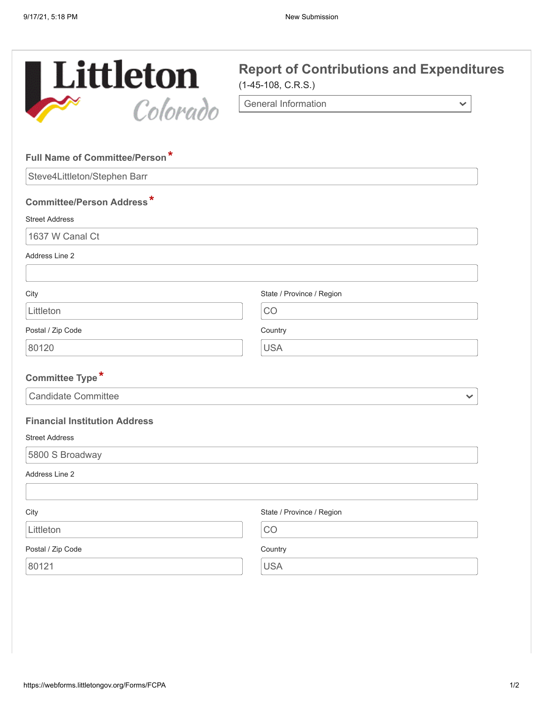

 $\checkmark$ 

General Information

| Full Name of Committee/Person*       |                           |
|--------------------------------------|---------------------------|
| Steve4Littleton/Stephen Barr         |                           |
| <b>Committee/Person Address*</b>     |                           |
| <b>Street Address</b>                |                           |
| 1637 W Canal Ct                      |                           |
| Address Line 2                       |                           |
| City                                 | State / Province / Region |
| Littleton                            | CO                        |
| Postal / Zip Code                    | Country                   |
| 80120                                | <b>USA</b>                |
|                                      |                           |
| Committee Type*                      |                           |
| <b>Candidate Committee</b>           | $\checkmark$              |
| <b>Financial Institution Address</b> |                           |
| <b>Street Address</b>                |                           |
| 5800 S Broadway                      |                           |
| Address Line 2                       |                           |
| City                                 | State / Province / Region |
| Littleton                            | CO                        |
| Postal / Zip Code                    | Country                   |
| 80121                                | <b>USA</b>                |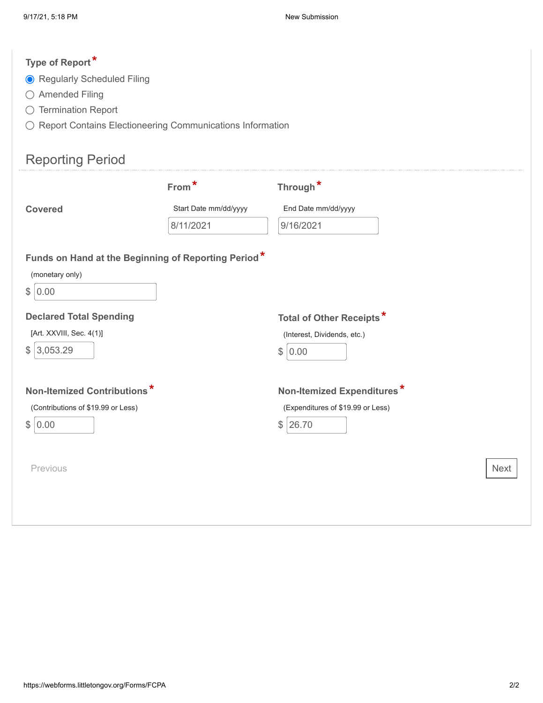# **Type of Report\***

- Regularly Scheduled Filing
- Amended Filing
- $\bigcirc$  Termination Report
- $\bigcirc$  Report Contains Electioneering Communications Information

# Reporting Period

|                                                                                       | From*                 | Through <sup>*</sup>                                                           |
|---------------------------------------------------------------------------------------|-----------------------|--------------------------------------------------------------------------------|
| <b>Covered</b>                                                                        | Start Date mm/dd/yyyy | End Date mm/dd/yyyy                                                            |
|                                                                                       | 8/11/2021             | 9/16/2021                                                                      |
| Funds on Hand at the Beginning of Reporting Period*<br>(monetary only)<br>\$<br> 0.00 |                       |                                                                                |
| <b>Declared Total Spending</b><br>[Art. XXVIII, Sec. 4(1)]<br>\$<br>3,053.29          |                       | Total of Other Receipts*<br>(Interest, Dividends, etc.)<br>\$<br>0.00          |
| Non-Itemized Contributions*<br>(Contributions of \$19.99 or Less)<br>\$ 0.00          |                       | Non-Itemized Expenditures*<br>(Expenditures of \$19.99 or Less)<br>\$<br>26.70 |
| Previous                                                                              |                       | <b>Next</b>                                                                    |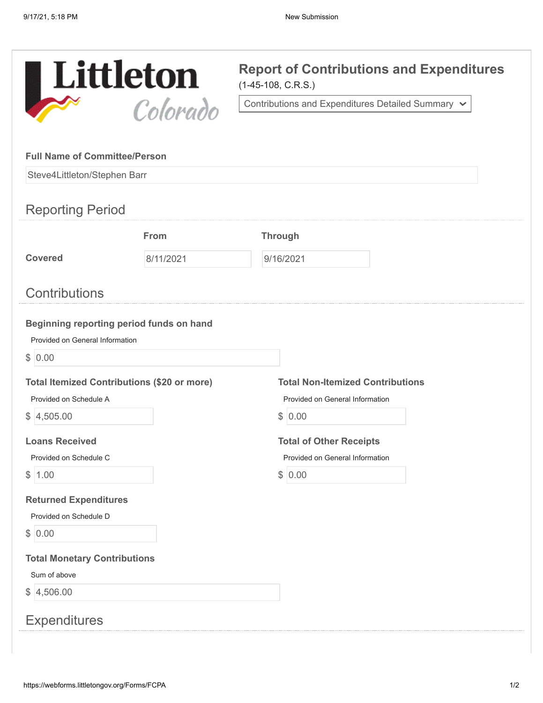

Contributions and Expenditures Detailed Summary

| Steve4Littleton/Stephen Barr                   |                                                    |                                         |
|------------------------------------------------|----------------------------------------------------|-----------------------------------------|
| <b>Reporting Period</b>                        |                                                    |                                         |
|                                                |                                                    |                                         |
|                                                | From                                               | <b>Through</b>                          |
| <b>Covered</b>                                 | 8/11/2021                                          | 9/16/2021                               |
| <b>Contributions</b>                           |                                                    |                                         |
|                                                | Beginning reporting period funds on hand           |                                         |
| Provided on General Information                |                                                    |                                         |
| \$ 0.00                                        |                                                    |                                         |
|                                                | <b>Total Itemized Contributions (\$20 or more)</b> | <b>Total Non-Itemized Contributions</b> |
| Provided on Schedule A                         |                                                    | Provided on General Information         |
| \$ 4,505.00                                    |                                                    | \$ 0.00                                 |
|                                                |                                                    |                                         |
| <b>Loans Received</b>                          |                                                    | <b>Total of Other Receipts</b>          |
| Provided on Schedule C                         |                                                    | Provided on General Information         |
| 1.00                                           |                                                    | \$ 0.00                                 |
| \$                                             |                                                    |                                         |
| Provided on Schedule D                         |                                                    |                                         |
| <b>Returned Expenditures</b>                   |                                                    |                                         |
| \$ 0.00<br><b>Total Monetary Contributions</b> |                                                    |                                         |
| Sum of above                                   |                                                    |                                         |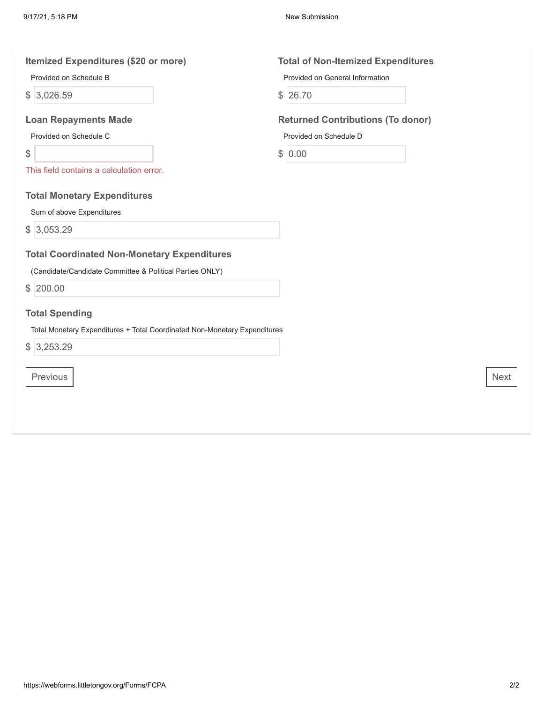#### **Itemized Expenditures (\$20 or more) Total of Non-Itemized Expenditures**

Provided on Schedule B

\$ 3,026.59

Provided on Schedule C

\$

This field contains a calculation error.

### **Total Monetary Expenditures**

Sum of above Expenditures

\$ 3,053.29

### **Total Coordinated Non-Monetary Expenditures**

(Candidate/Candidate Committee & Political Parties ONLY)

\$ 200.00

### **Total Spending**

Total Monetary Expenditures + Total Coordinated Non-Monetary Expenditures

\$ 3,253.29

Previous Next

Provided on General Information

\$ 26.70

### **Loan Repayments Made Returned Contributions (To donor)**

Provided on Schedule D

\$ 0.00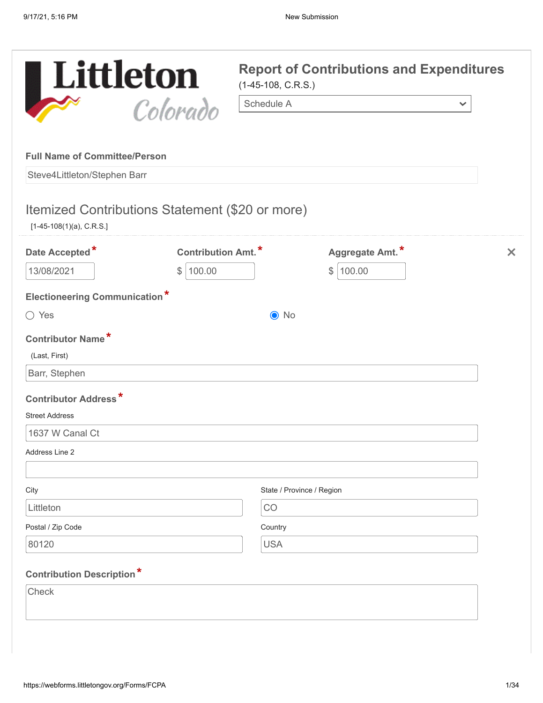| Littleton                                                                     |                            | $(1-45-108, C.R.S.)$ | <b>Report of Contributions and Expenditures</b> |              |
|-------------------------------------------------------------------------------|----------------------------|----------------------|-------------------------------------------------|--------------|
|                                                                               | Colorado                   | Schedule A           |                                                 | $\checkmark$ |
| <b>Full Name of Committee/Person</b><br>Steve4Littleton/Stephen Barr          |                            |                      |                                                 |              |
| Itemized Contributions Statement (\$20 or more)<br>$[1-45-108(1)(a), C.R.S.]$ |                            |                      |                                                 |              |
| Date Accepted*                                                                | <b>Contribution Amt.</b> * |                      | Aggregate Amt.*                                 | $\times$     |
| 13/08/2021                                                                    | 100.00<br>\$               |                      | 100.00<br>$\mathbb{S}^-$                        |              |
| <b>Electioneering Communication*</b>                                          |                            |                      |                                                 |              |
| $\bigcirc$ Yes                                                                |                            | $\odot$ No           |                                                 |              |
| <b>Contributor Name*</b><br>(Last, First)                                     |                            |                      |                                                 |              |
| Barr, Stephen                                                                 |                            |                      |                                                 |              |
| <b>Contributor Address*</b>                                                   |                            |                      |                                                 |              |
| <b>Street Address</b>                                                         |                            |                      |                                                 |              |
| 1637 W Canal Ct                                                               |                            |                      |                                                 |              |
| Address Line 2                                                                |                            |                      |                                                 |              |
| City                                                                          |                            |                      | State / Province / Region                       |              |
| Littleton                                                                     |                            | CO                   |                                                 |              |
| Postal / Zip Code                                                             |                            | Country              |                                                 |              |
| 80120                                                                         |                            | <b>USA</b>           |                                                 |              |
| <b>Contribution Description*</b>                                              |                            |                      |                                                 |              |
| Check                                                                         |                            |                      |                                                 |              |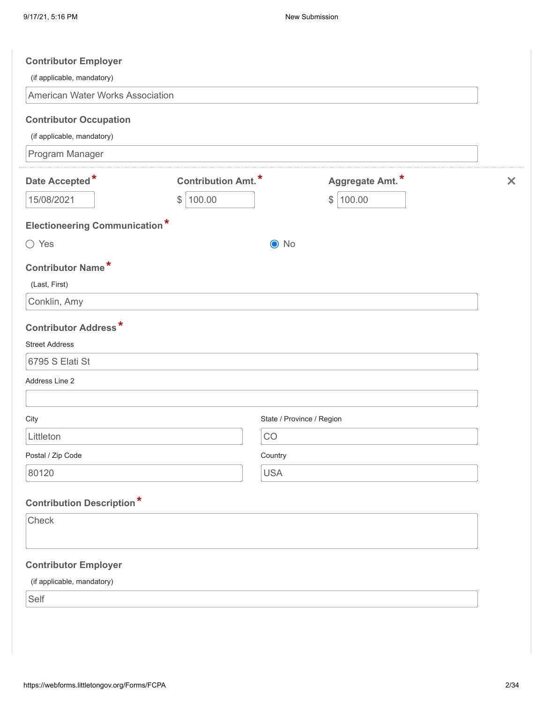| (if applicable, mandatory)                                                                    |                            |                           |                         |                       |
|-----------------------------------------------------------------------------------------------|----------------------------|---------------------------|-------------------------|-----------------------|
| American Water Works Association                                                              |                            |                           |                         |                       |
| <b>Contributor Occupation</b>                                                                 |                            |                           |                         |                       |
| (if applicable, mandatory)                                                                    |                            |                           |                         |                       |
| Program Manager                                                                               |                            |                           |                         |                       |
| Date Accepted*                                                                                | <b>Contribution Amt.</b> * |                           | Aggregate Amt.*         | $\boldsymbol{\times}$ |
| 15/08/2021                                                                                    | \$<br>100.00               |                           | 100.00<br>$\frac{1}{2}$ |                       |
| <b>Electioneering Communication*</b>                                                          |                            |                           |                         |                       |
| $\bigcirc$ Yes                                                                                |                            | $\odot$ No                |                         |                       |
| <b>Contributor Name*</b>                                                                      |                            |                           |                         |                       |
| (Last, First)                                                                                 |                            |                           |                         |                       |
| Conklin, Amy                                                                                  |                            |                           |                         |                       |
| <b>Contributor Address*</b>                                                                   |                            |                           |                         |                       |
| <b>Street Address</b>                                                                         |                            |                           |                         |                       |
|                                                                                               |                            |                           |                         |                       |
| 6795 S Elati St                                                                               |                            |                           |                         |                       |
|                                                                                               |                            |                           |                         |                       |
|                                                                                               |                            |                           |                         |                       |
|                                                                                               |                            | State / Province / Region |                         |                       |
| Littleton                                                                                     |                            | CO                        |                         |                       |
|                                                                                               |                            | Country                   |                         |                       |
| Address Line 2<br>City<br>Postal / Zip Code<br>80120                                          |                            | <b>USA</b>                |                         |                       |
|                                                                                               |                            |                           |                         |                       |
|                                                                                               |                            |                           |                         |                       |
| Check                                                                                         |                            |                           |                         |                       |
|                                                                                               |                            |                           |                         |                       |
| <b>Contribution Description*</b><br><b>Contributor Employer</b><br>(if applicable, mandatory) |                            |                           |                         |                       |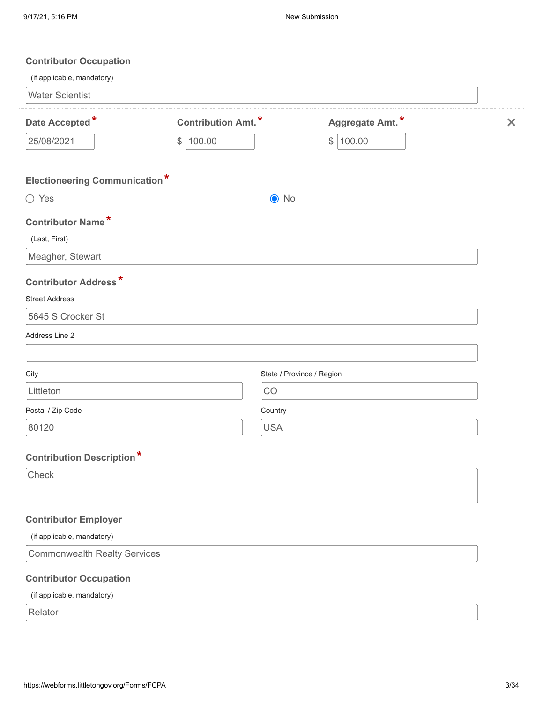| <b>Contributor Occupation</b><br>(if applicable, mandatory) |                                                                                      |                                            |          |
|-------------------------------------------------------------|--------------------------------------------------------------------------------------|--------------------------------------------|----------|
| <b>Water Scientist</b>                                      |                                                                                      |                                            |          |
| Date Accepted*<br>25/08/2021                                | <b>Contribution Amt.*</b><br>100.00<br>$\, \, \raisebox{12pt}{$\scriptstyle \circ$}$ | Aggregate Amt.*<br>100.00<br>$\mathcal{L}$ | $\times$ |
| <b>Electioneering Communication*</b>                        |                                                                                      |                                            |          |
| $\bigcirc$ Yes                                              | $\odot$ No                                                                           |                                            |          |
| <b>Contributor Name*</b><br>(Last, First)                   |                                                                                      |                                            |          |
| Meagher, Stewart                                            |                                                                                      |                                            |          |
| <b>Contributor Address*</b><br><b>Street Address</b>        |                                                                                      |                                            |          |
| 5645 S Crocker St                                           |                                                                                      |                                            |          |
| Address Line 2                                              |                                                                                      |                                            |          |
| City                                                        |                                                                                      | State / Province / Region                  |          |
| Littleton                                                   | CO                                                                                   |                                            |          |
| Postal / Zip Code                                           | Country                                                                              |                                            |          |
| 80120                                                       | <b>USA</b>                                                                           |                                            |          |
| <b>Contribution Description*</b>                            |                                                                                      |                                            |          |
| Check                                                       |                                                                                      |                                            |          |
| <b>Contributor Employer</b>                                 |                                                                                      |                                            |          |
| (if applicable, mandatory)                                  |                                                                                      |                                            |          |
| <b>Commonwealth Realty Services</b>                         |                                                                                      |                                            |          |
| <b>Contributor Occupation</b>                               |                                                                                      |                                            |          |
| (if applicable, mandatory)                                  |                                                                                      |                                            |          |
| Relator                                                     |                                                                                      |                                            |          |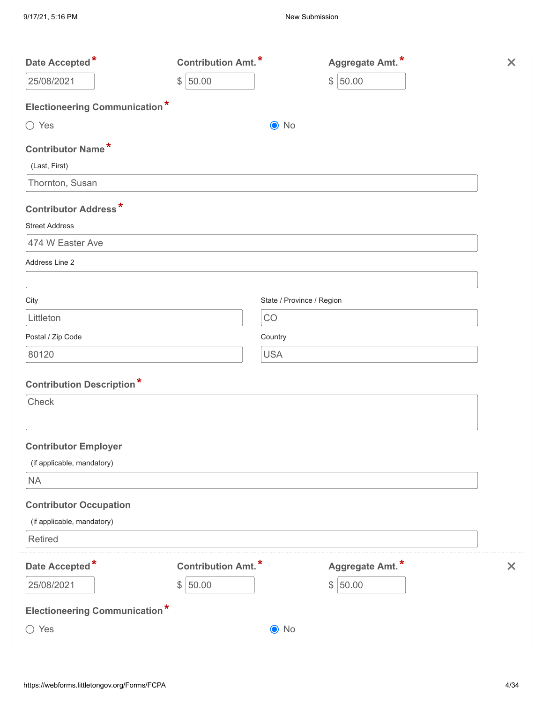| Date Accepted*                       | <b>Contribution Amt.*</b> | Aggregate Amt.*           | $\times$                  |
|--------------------------------------|---------------------------|---------------------------|---------------------------|
| 25/08/2021                           | 50.00<br>$\frac{1}{2}$    | \$150.00                  |                           |
| <b>Electioneering Communication*</b> |                           |                           |                           |
| $\bigcirc$ Yes                       | $\odot$ No                |                           |                           |
| <b>Contributor Name*</b>             |                           |                           |                           |
| (Last, First)                        |                           |                           |                           |
| Thornton, Susan                      |                           |                           |                           |
| <b>Contributor Address*</b>          |                           |                           |                           |
| <b>Street Address</b>                |                           |                           |                           |
| 474 W Easter Ave                     |                           |                           |                           |
| Address Line 2                       |                           |                           |                           |
| City                                 |                           | State / Province / Region |                           |
| Littleton                            | CO                        |                           |                           |
| Postal / Zip Code                    | Country                   |                           |                           |
| 80120                                | <b>USA</b>                |                           |                           |
| <b>Contribution Description*</b>     |                           |                           |                           |
| Check                                |                           |                           |                           |
|                                      |                           |                           |                           |
| <b>Contributor Employer</b>          |                           |                           |                           |
| (if applicable, mandatory)           |                           |                           |                           |
| $\sf NA$                             |                           |                           |                           |
| <b>Contributor Occupation</b>        |                           |                           |                           |
| (if applicable, mandatory)           |                           |                           |                           |
| Retired                              |                           |                           |                           |
| Date Accepted*                       | <b>Contribution Amt.*</b> | Aggregate Amt.*           | $\boldsymbol{\mathsf{x}}$ |
| 25/08/2021                           | \$150.00                  | \$150.00                  |                           |
| <b>Electioneering Communication*</b> |                           |                           |                           |
| $\bigcirc$ Yes                       | $\bullet$ No              |                           |                           |
|                                      |                           |                           |                           |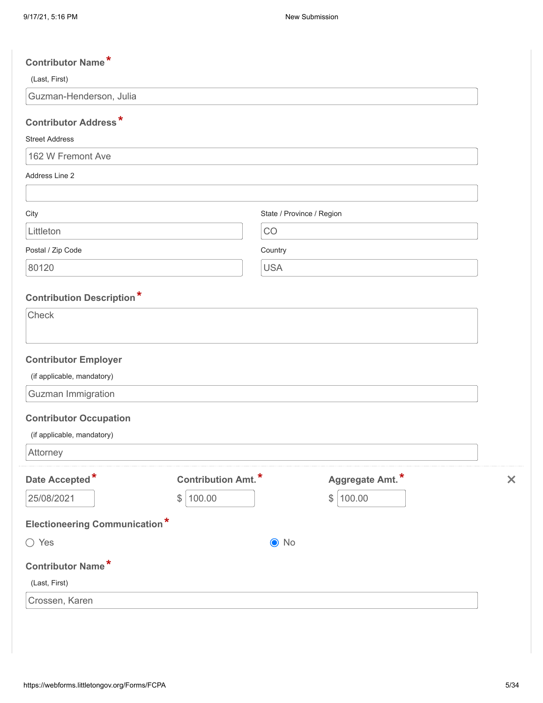| <b>Contributor Name*</b>             |                            |                           |                 |          |
|--------------------------------------|----------------------------|---------------------------|-----------------|----------|
| (Last, First)                        |                            |                           |                 |          |
| Guzman-Henderson, Julia              |                            |                           |                 |          |
| <b>Contributor Address*</b>          |                            |                           |                 |          |
| <b>Street Address</b>                |                            |                           |                 |          |
| 162 W Fremont Ave                    |                            |                           |                 |          |
| Address Line 2                       |                            |                           |                 |          |
| City                                 |                            | State / Province / Region |                 |          |
| Littleton                            |                            | CO                        |                 |          |
| Postal / Zip Code                    |                            | Country                   |                 |          |
| 80120                                |                            | <b>USA</b>                |                 |          |
|                                      |                            |                           |                 |          |
| <b>Contribution Description*</b>     |                            |                           |                 |          |
| Check                                |                            |                           |                 |          |
| <b>Contributor Employer</b>          |                            |                           |                 |          |
| (if applicable, mandatory)           |                            |                           |                 |          |
| Guzman Immigration                   |                            |                           |                 |          |
| <b>Contributor Occupation</b>        |                            |                           |                 |          |
| (if applicable, mandatory)           |                            |                           |                 |          |
| Attorney                             |                            |                           |                 |          |
| Date Accepted*                       | <b>Contribution Amt.</b> * |                           | Aggregate Amt.* | $\times$ |
| 25/08/2021                           | 100.00<br>\$               |                           | \$ 100.00       |          |
| <b>Electioneering Communication*</b> |                            |                           |                 |          |
| $\bigcirc$ Yes                       |                            | $\odot$ No                |                 |          |
| <b>Contributor Name*</b>             |                            |                           |                 |          |
| (Last, First)                        |                            |                           |                 |          |
| Crossen, Karen                       |                            |                           |                 |          |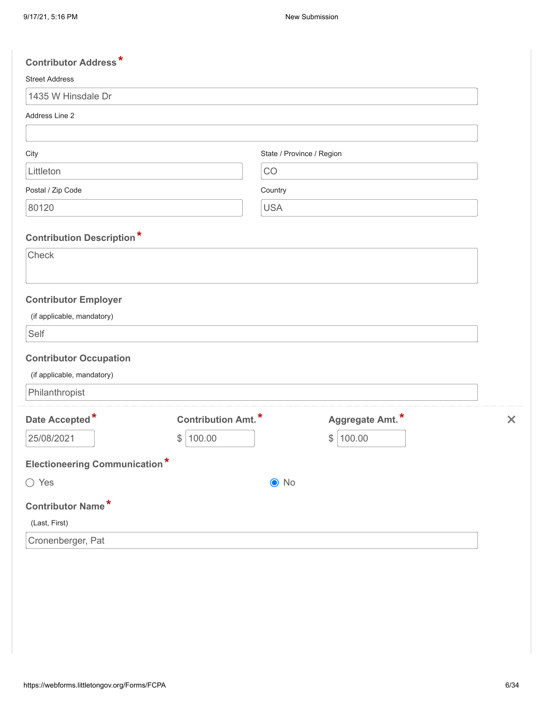| <b>Contributor Address*</b>                                       |                            |                           |                 |                           |
|-------------------------------------------------------------------|----------------------------|---------------------------|-----------------|---------------------------|
| <b>Street Address</b>                                             |                            |                           |                 |                           |
| 1435 W Hinsdale Dr                                                |                            |                           |                 |                           |
| Address Line 2                                                    |                            |                           |                 |                           |
|                                                                   |                            |                           |                 |                           |
| City                                                              |                            | State / Province / Region |                 |                           |
| Littleton                                                         |                            | CO                        |                 |                           |
| Postal / Zip Code                                                 |                            | Country                   |                 |                           |
| 80120                                                             |                            | <b>USA</b>                |                 |                           |
| <b>Contribution Description*</b>                                  |                            |                           |                 |                           |
| Check                                                             |                            |                           |                 |                           |
| <b>Contributor Employer</b><br>(if applicable, mandatory)<br>Self |                            |                           |                 |                           |
|                                                                   |                            |                           |                 |                           |
| <b>Contributor Occupation</b>                                     |                            |                           |                 |                           |
| (if applicable, mandatory)                                        |                            |                           |                 |                           |
| Philanthropist                                                    |                            |                           |                 |                           |
| Date Accepted*                                                    | <b>Contribution Amt.</b> * |                           | Aggregate Amt.* | $\boldsymbol{\mathsf{x}}$ |
| 25/08/2021                                                        | \$<br>100.00               |                           | \$<br>100.00    |                           |
| <b>Electioneering Communication*</b>                              |                            |                           |                 |                           |
| $\bigcirc$ Yes                                                    |                            | $\odot$ No                |                 |                           |
| <b>Contributor Name*</b>                                          |                            |                           |                 |                           |
| (Last, First)                                                     |                            |                           |                 |                           |
| Cronenberger, Pat                                                 |                            |                           |                 |                           |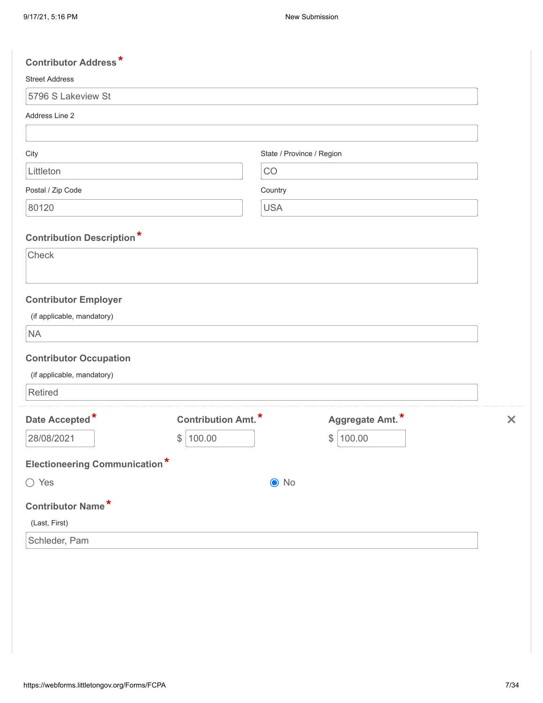| <b>Contributor Address*</b>          |                           |                           |                 |                           |
|--------------------------------------|---------------------------|---------------------------|-----------------|---------------------------|
| <b>Street Address</b>                |                           |                           |                 |                           |
| 5796 S Lakeview St                   |                           |                           |                 |                           |
| Address Line 2                       |                           |                           |                 |                           |
|                                      |                           |                           |                 |                           |
| City                                 |                           | State / Province / Region |                 |                           |
| Littleton                            |                           | CO                        |                 |                           |
| Postal / Zip Code                    |                           | Country                   |                 |                           |
| 80120                                |                           | <b>USA</b>                |                 |                           |
| <b>Contribution Description*</b>     |                           |                           |                 |                           |
| Check                                |                           |                           |                 |                           |
|                                      |                           |                           |                 |                           |
| <b>Contributor Employer</b>          |                           |                           |                 |                           |
| (if applicable, mandatory)           |                           |                           |                 |                           |
| <b>NA</b>                            |                           |                           |                 |                           |
| <b>Contributor Occupation</b>        |                           |                           |                 |                           |
| (if applicable, mandatory)           |                           |                           |                 |                           |
| <b>Retired</b>                       |                           |                           |                 |                           |
| Date Accepted*                       | <b>Contribution Amt.*</b> |                           | Aggregate Amt.* | $\boldsymbol{\mathsf{x}}$ |
| 28/08/2021                           | \$<br>100.00              |                           | \$<br>100.00    |                           |
| <b>Electioneering Communication*</b> |                           |                           |                 |                           |
| $\bigcirc$ Yes                       |                           | $\odot$ No                |                 |                           |
| Contributor Name*                    |                           |                           |                 |                           |
| (Last, First)                        |                           |                           |                 |                           |
| Schleder, Pam                        |                           |                           |                 |                           |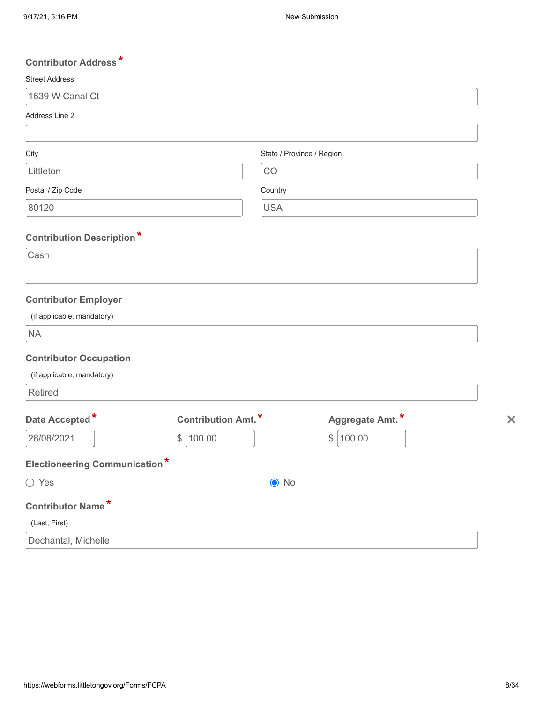| <b>Contributor Address*</b>          |                           |                           |                 |                           |
|--------------------------------------|---------------------------|---------------------------|-----------------|---------------------------|
| <b>Street Address</b>                |                           |                           |                 |                           |
| 1639 W Canal Ct                      |                           |                           |                 |                           |
| Address Line 2                       |                           |                           |                 |                           |
|                                      |                           |                           |                 |                           |
| City                                 |                           | State / Province / Region |                 |                           |
| Littleton                            |                           | CO                        |                 |                           |
| Postal / Zip Code                    |                           | Country                   |                 |                           |
| 80120                                |                           | <b>USA</b>                |                 |                           |
| <b>Contribution Description*</b>     |                           |                           |                 |                           |
| Cash                                 |                           |                           |                 |                           |
|                                      |                           |                           |                 |                           |
| <b>Contributor Employer</b>          |                           |                           |                 |                           |
| (if applicable, mandatory)           |                           |                           |                 |                           |
| <b>NA</b>                            |                           |                           |                 |                           |
| <b>Contributor Occupation</b>        |                           |                           |                 |                           |
| (if applicable, mandatory)           |                           |                           |                 |                           |
| <b>Retired</b>                       |                           |                           |                 |                           |
| Date Accepted*                       | <b>Contribution Amt.*</b> |                           | Aggregate Amt.* | $\boldsymbol{\mathsf{x}}$ |
| 28/08/2021                           | \$<br>100.00              |                           | $\$\$<br>100.00 |                           |
| <b>Electioneering Communication*</b> |                           |                           |                 |                           |
| $\bigcirc$ Yes                       |                           | $\odot$ No                |                 |                           |
| Contributor Name*                    |                           |                           |                 |                           |
| (Last, First)                        |                           |                           |                 |                           |
| Dechantal, Michelle                  |                           |                           |                 |                           |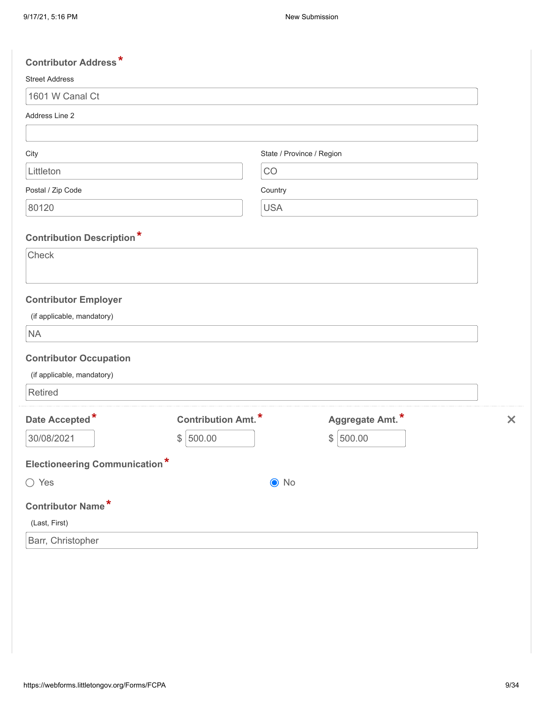| <b>Contributor Address*</b>                                            |                            |                           |                 |                           |
|------------------------------------------------------------------------|----------------------------|---------------------------|-----------------|---------------------------|
| <b>Street Address</b>                                                  |                            |                           |                 |                           |
| 1601 W Canal Ct                                                        |                            |                           |                 |                           |
| Address Line 2                                                         |                            |                           |                 |                           |
|                                                                        |                            |                           |                 |                           |
| City                                                                   |                            | State / Province / Region |                 |                           |
| Littleton                                                              |                            | CO                        |                 |                           |
| Postal / Zip Code                                                      |                            | Country                   |                 |                           |
| 80120                                                                  |                            | <b>USA</b>                |                 |                           |
| <b>Contribution Description*</b>                                       |                            |                           |                 |                           |
| Check                                                                  |                            |                           |                 |                           |
| <b>Contributor Employer</b><br>(if applicable, mandatory)<br><b>NA</b> |                            |                           |                 |                           |
| <b>Contributor Occupation</b>                                          |                            |                           |                 |                           |
| (if applicable, mandatory)                                             |                            |                           |                 |                           |
| <b>Retired</b>                                                         |                            |                           |                 |                           |
| Date Accepted*                                                         | <b>Contribution Amt.</b> * |                           | Aggregate Amt.* | $\boldsymbol{\mathsf{x}}$ |
| 30/08/2021                                                             | 500.00<br>\$               |                           | \$<br>500.00    |                           |
| <b>Electioneering Communication*</b>                                   |                            |                           |                 |                           |
| $\bigcirc$ Yes                                                         |                            | $\odot$ No                |                 |                           |
| Contributor Name*                                                      |                            |                           |                 |                           |
| (Last, First)                                                          |                            |                           |                 |                           |
| Barr, Christopher                                                      |                            |                           |                 |                           |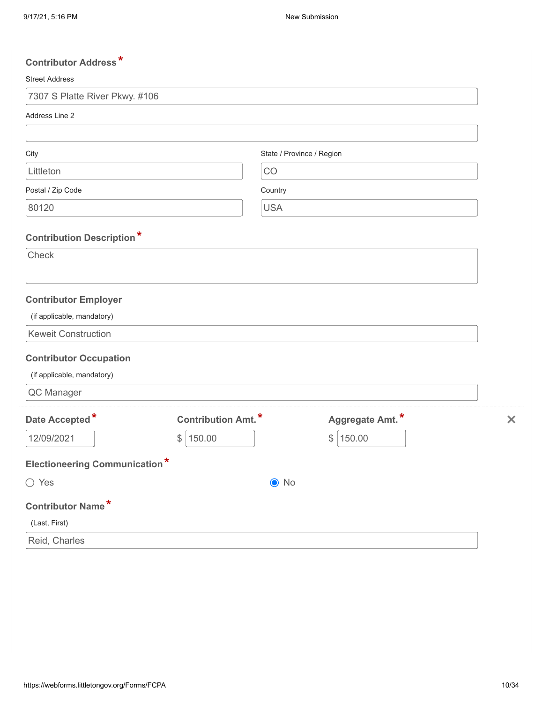| <b>Contributor Address*</b>          |                           |                           |                 |          |
|--------------------------------------|---------------------------|---------------------------|-----------------|----------|
| <b>Street Address</b>                |                           |                           |                 |          |
| 7307 S Platte River Pkwy. #106       |                           |                           |                 |          |
| Address Line 2                       |                           |                           |                 |          |
|                                      |                           |                           |                 |          |
| City                                 |                           | State / Province / Region |                 |          |
| Littleton                            |                           | CO                        |                 |          |
| Postal / Zip Code                    |                           | Country                   |                 |          |
| 80120                                |                           | <b>USA</b>                |                 |          |
| <b>Contribution Description*</b>     |                           |                           |                 |          |
| Check                                |                           |                           |                 |          |
|                                      |                           |                           |                 |          |
| <b>Contributor Employer</b>          |                           |                           |                 |          |
| (if applicable, mandatory)           |                           |                           |                 |          |
| <b>Keweit Construction</b>           |                           |                           |                 |          |
| <b>Contributor Occupation</b>        |                           |                           |                 |          |
| (if applicable, mandatory)           |                           |                           |                 |          |
| QC Manager                           |                           |                           |                 |          |
| Date Accepted*                       | <b>Contribution Amt.*</b> |                           | Aggregate Amt.* | $\times$ |
| 12/09/2021<br>$\frac{1}{2}$          | 150.00                    |                           | 150.00<br>\$    |          |
| <b>Electioneering Communication*</b> |                           |                           |                 |          |
| $\bigcirc$ Yes                       |                           | $\odot$ No                |                 |          |
| <b>Contributor Name*</b>             |                           |                           |                 |          |
| (Last, First)                        |                           |                           |                 |          |
| Reid, Charles                        |                           |                           |                 |          |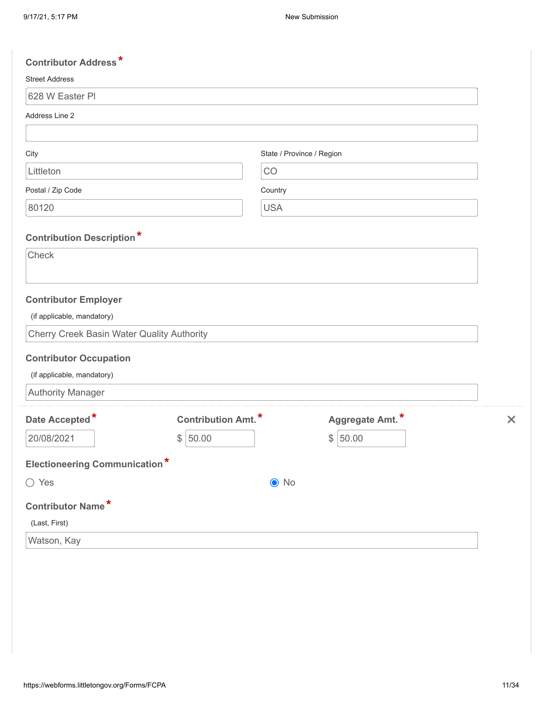| <b>Contributor Address*</b>                       |                            |                           |                 |                           |
|---------------------------------------------------|----------------------------|---------------------------|-----------------|---------------------------|
| <b>Street Address</b>                             |                            |                           |                 |                           |
| 628 W Easter PI                                   |                            |                           |                 |                           |
| Address Line 2                                    |                            |                           |                 |                           |
|                                                   |                            |                           |                 |                           |
| City                                              |                            | State / Province / Region |                 |                           |
| Littleton                                         |                            | CO                        |                 |                           |
| Postal / Zip Code                                 |                            | Country                   |                 |                           |
| 80120                                             |                            | <b>USA</b>                |                 |                           |
|                                                   |                            |                           |                 |                           |
| <b>Contribution Description*</b><br>Check         |                            |                           |                 |                           |
|                                                   |                            |                           |                 |                           |
|                                                   |                            |                           |                 |                           |
| <b>Contributor Employer</b>                       |                            |                           |                 |                           |
| (if applicable, mandatory)                        |                            |                           |                 |                           |
| <b>Cherry Creek Basin Water Quality Authority</b> |                            |                           |                 |                           |
| <b>Contributor Occupation</b>                     |                            |                           |                 |                           |
| (if applicable, mandatory)                        |                            |                           |                 |                           |
| <b>Authority Manager</b>                          |                            |                           |                 |                           |
| Date Accepted*                                    | <b>Contribution Amt.</b> * |                           | Aggregate Amt.* | $\boldsymbol{\mathsf{x}}$ |
| 20/08/2021                                        | \$<br>50.00                |                           | 50.00<br>\$     |                           |
|                                                   |                            |                           |                 |                           |
| <b>Electioneering Communication*</b>              |                            |                           |                 |                           |
| ◯ Yes                                             |                            | $\bullet$ No              |                 |                           |
| Contributor Name*                                 |                            |                           |                 |                           |
| (Last, First)                                     |                            |                           |                 |                           |
| Watson, Kay                                       |                            |                           |                 |                           |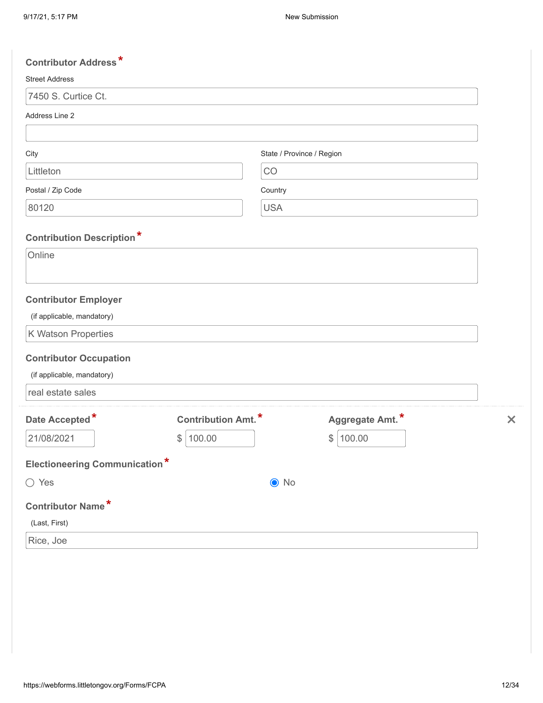| <b>Contributor Address*</b>          |                           |                           |                 |                           |
|--------------------------------------|---------------------------|---------------------------|-----------------|---------------------------|
| <b>Street Address</b>                |                           |                           |                 |                           |
| 7450 S. Curtice Ct.                  |                           |                           |                 |                           |
| Address Line 2                       |                           |                           |                 |                           |
|                                      |                           |                           |                 |                           |
| City                                 |                           | State / Province / Region |                 |                           |
| Littleton                            |                           | CO                        |                 |                           |
| Postal / Zip Code                    |                           | Country                   |                 |                           |
| 80120                                |                           | <b>USA</b>                |                 |                           |
|                                      |                           |                           |                 |                           |
| <b>Contribution Description*</b>     |                           |                           |                 |                           |
| Online                               |                           |                           |                 |                           |
|                                      |                           |                           |                 |                           |
| <b>Contributor Employer</b>          |                           |                           |                 |                           |
| (if applicable, mandatory)           |                           |                           |                 |                           |
| K Watson Properties                  |                           |                           |                 |                           |
| <b>Contributor Occupation</b>        |                           |                           |                 |                           |
| (if applicable, mandatory)           |                           |                           |                 |                           |
| real estate sales                    |                           |                           |                 |                           |
| Date Accepted*                       | <b>Contribution Amt.*</b> |                           | Aggregate Amt.* | $\boldsymbol{\mathsf{x}}$ |
| 21/08/2021                           | 100.00<br>$\frac{1}{2}$   |                           | \$<br>100.00    |                           |
|                                      |                           |                           |                 |                           |
| <b>Electioneering Communication*</b> |                           |                           |                 |                           |
| ◯ Yes                                |                           | $\bullet$ No              |                 |                           |
| Contributor Name*                    |                           |                           |                 |                           |
| (Last, First)                        |                           |                           |                 |                           |
| Rice, Joe                            |                           |                           |                 |                           |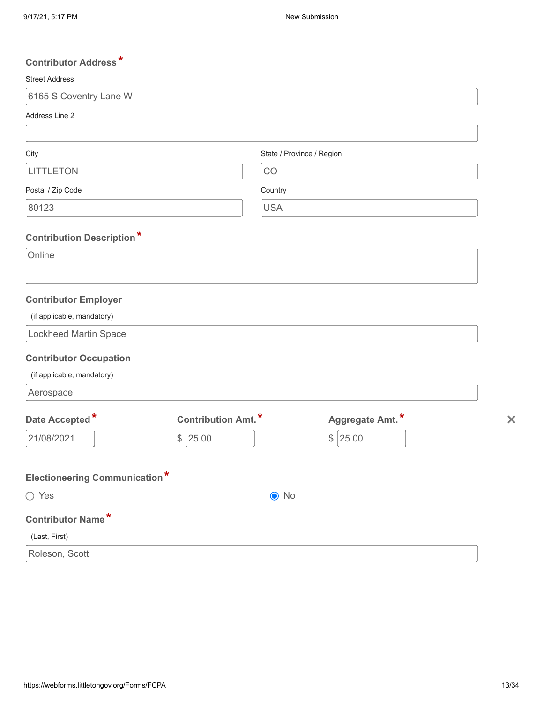| <b>Contributor Address*</b>                                              |                           |                           |                 |          |
|--------------------------------------------------------------------------|---------------------------|---------------------------|-----------------|----------|
| <b>Street Address</b>                                                    |                           |                           |                 |          |
| 6165 S Coventry Lane W                                                   |                           |                           |                 |          |
| Address Line 2                                                           |                           |                           |                 |          |
|                                                                          |                           |                           |                 |          |
| City                                                                     |                           | State / Province / Region |                 |          |
| <b>LITTLETON</b>                                                         |                           | CO                        |                 |          |
| Postal / Zip Code                                                        |                           | Country                   |                 |          |
| 80123                                                                    |                           | <b>USA</b>                |                 |          |
| <b>Contribution Description*</b>                                         |                           |                           |                 |          |
| Online                                                                   |                           |                           |                 |          |
| <b>Contributor Employer</b><br>(if applicable, mandatory)                |                           |                           |                 |          |
| <b>Lockheed Martin Space</b>                                             |                           |                           |                 |          |
| <b>Contributor Occupation</b><br>(if applicable, mandatory)<br>Aerospace |                           |                           |                 |          |
| Date Accepted*                                                           | <b>Contribution Amt.*</b> |                           | Aggregate Amt.* | $\times$ |
| 21/08/2021                                                               | \$<br>25.00               |                           | $\$\$<br>25.00  |          |
| <b>Electioneering Communication*</b>                                     |                           |                           |                 |          |
| $\bigcirc$ Yes                                                           |                           | $\odot$ No                |                 |          |
| Contributor Name*                                                        |                           |                           |                 |          |
| (Last, First)                                                            |                           |                           |                 |          |
| Roleson, Scott                                                           |                           |                           |                 |          |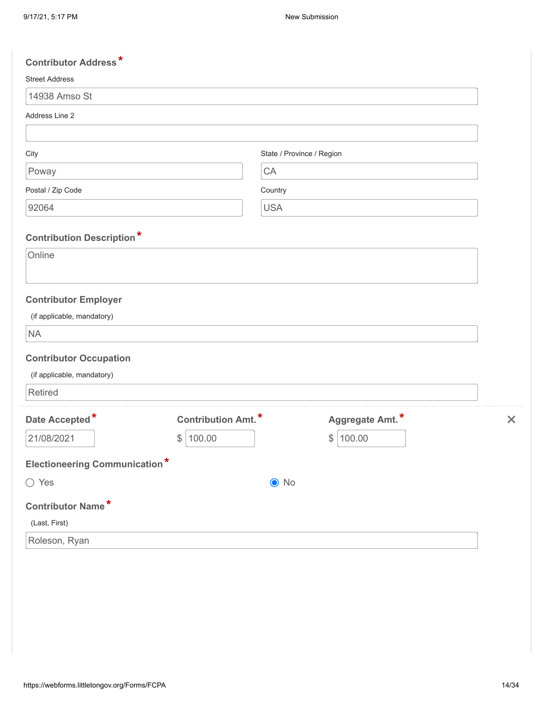| <b>Contributor Address*</b>          |                            |                           |                 |                           |
|--------------------------------------|----------------------------|---------------------------|-----------------|---------------------------|
| <b>Street Address</b>                |                            |                           |                 |                           |
| 14938 Amso St                        |                            |                           |                 |                           |
| Address Line 2                       |                            |                           |                 |                           |
|                                      |                            |                           |                 |                           |
| City                                 |                            | State / Province / Region |                 |                           |
| Poway                                |                            | CA                        |                 |                           |
| Postal / Zip Code                    |                            | Country                   |                 |                           |
| 92064                                |                            | <b>USA</b>                |                 |                           |
|                                      |                            |                           |                 |                           |
| <b>Contribution Description*</b>     |                            |                           |                 |                           |
| Online                               |                            |                           |                 |                           |
|                                      |                            |                           |                 |                           |
| <b>Contributor Employer</b>          |                            |                           |                 |                           |
| (if applicable, mandatory)           |                            |                           |                 |                           |
| <b>NA</b>                            |                            |                           |                 |                           |
| <b>Contributor Occupation</b>        |                            |                           |                 |                           |
| (if applicable, mandatory)           |                            |                           |                 |                           |
| Retired                              |                            |                           |                 |                           |
| Date Accepted*                       | <b>Contribution Amt.</b> * |                           | Aggregate Amt.* | $\boldsymbol{\mathsf{x}}$ |
| 21/08/2021                           | \$<br>100.00               |                           | 100.00<br>\$    |                           |
|                                      |                            |                           |                 |                           |
| <b>Electioneering Communication*</b> |                            |                           |                 |                           |
| $\bigcirc$ Yes                       |                            | $\odot$ No                |                 |                           |
| <b>Contributor Name*</b>             |                            |                           |                 |                           |
| (Last, First)                        |                            |                           |                 |                           |
| Roleson, Ryan                        |                            |                           |                 |                           |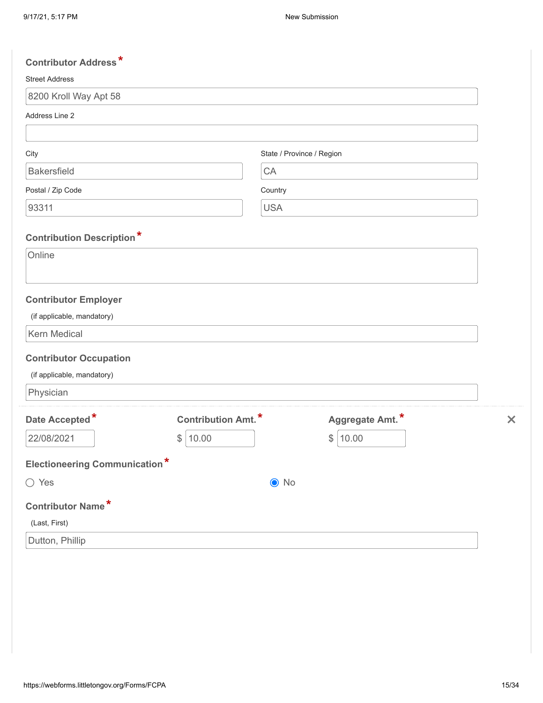| <b>Contributor Address*</b>                 |                           |                 |                           |
|---------------------------------------------|---------------------------|-----------------|---------------------------|
| <b>Street Address</b>                       |                           |                 |                           |
| 8200 Kroll Way Apt 58                       |                           |                 |                           |
| Address Line 2                              |                           |                 |                           |
|                                             |                           |                 |                           |
| City                                        | State / Province / Region |                 |                           |
| <b>Bakersfield</b>                          | CA                        |                 |                           |
| Postal / Zip Code                           | Country                   |                 |                           |
| 93311                                       | <b>USA</b>                |                 |                           |
|                                             |                           |                 |                           |
| <b>Contribution Description*</b><br>Online  |                           |                 |                           |
|                                             |                           |                 |                           |
|                                             |                           |                 |                           |
| <b>Contributor Employer</b>                 |                           |                 |                           |
| (if applicable, mandatory)                  |                           |                 |                           |
| Kern Medical                                |                           |                 |                           |
| <b>Contributor Occupation</b>               |                           |                 |                           |
| (if applicable, mandatory)                  |                           |                 |                           |
| Physician                                   |                           |                 |                           |
| Date Accepted*<br><b>Contribution Amt.*</b> |                           | Aggregate Amt.* | $\boldsymbol{\mathsf{x}}$ |
| 22/08/2021<br>\$<br>10.00                   |                           | \$<br>10.00     |                           |
|                                             |                           |                 |                           |
| <b>Electioneering Communication*</b>        |                           |                 |                           |
| ◯ Yes                                       | $\bullet$ No              |                 |                           |
| Contributor Name*                           |                           |                 |                           |
| (Last, First)                               |                           |                 |                           |
| Dutton, Phillip                             |                           |                 |                           |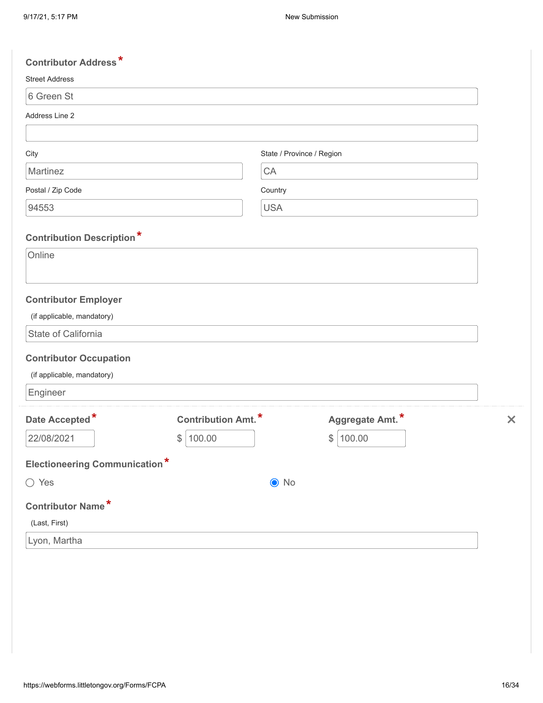| <b>Contributor Address*</b>          |                           |                           |                       |
|--------------------------------------|---------------------------|---------------------------|-----------------------|
| <b>Street Address</b>                |                           |                           |                       |
| 6 Green St                           |                           |                           |                       |
| Address Line 2                       |                           |                           |                       |
|                                      |                           |                           |                       |
| City                                 |                           | State / Province / Region |                       |
| Martinez                             | CA                        |                           |                       |
| Postal / Zip Code                    | Country                   |                           |                       |
| 94553                                | <b>USA</b>                |                           |                       |
| <b>Contribution Description*</b>     |                           |                           |                       |
| Online                               |                           |                           |                       |
|                                      |                           |                           |                       |
| <b>Contributor Employer</b>          |                           |                           |                       |
| (if applicable, mandatory)           |                           |                           |                       |
| State of California                  |                           |                           |                       |
| <b>Contributor Occupation</b>        |                           |                           |                       |
| (if applicable, mandatory)           |                           |                           |                       |
| Engineer                             |                           |                           |                       |
| Date Accepted*                       | <b>Contribution Amt.*</b> | Aggregate Amt.*           | $\boldsymbol{\times}$ |
| 22/08/2021                           | 100.00<br>\$              | 100.00<br>\$              |                       |
| <b>Electioneering Communication*</b> |                           |                           |                       |
| $\bigcirc$ Yes                       |                           | $\bullet$ No              |                       |
| <b>Contributor Name*</b>             |                           |                           |                       |
| (Last, First)                        |                           |                           |                       |
| Lyon, Martha                         |                           |                           |                       |
|                                      |                           |                           |                       |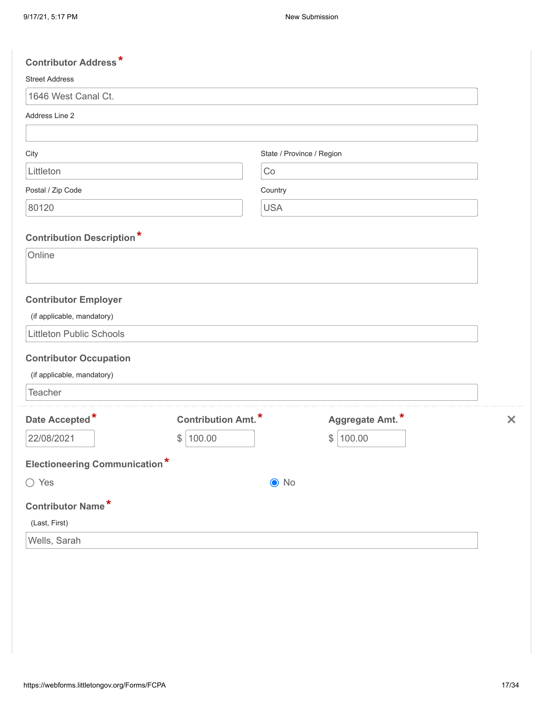| <b>Contributor Address*</b>          |                            |                           |                 |                           |
|--------------------------------------|----------------------------|---------------------------|-----------------|---------------------------|
| <b>Street Address</b>                |                            |                           |                 |                           |
| 1646 West Canal Ct.                  |                            |                           |                 |                           |
| Address Line 2                       |                            |                           |                 |                           |
|                                      |                            |                           |                 |                           |
| City                                 |                            | State / Province / Region |                 |                           |
| Littleton                            |                            | Co                        |                 |                           |
| Postal / Zip Code                    |                            | Country                   |                 |                           |
| 80120                                |                            | <b>USA</b>                |                 |                           |
|                                      |                            |                           |                 |                           |
| <b>Contribution Description*</b>     |                            |                           |                 |                           |
| Online                               |                            |                           |                 |                           |
|                                      |                            |                           |                 |                           |
| <b>Contributor Employer</b>          |                            |                           |                 |                           |
| (if applicable, mandatory)           |                            |                           |                 |                           |
| <b>Littleton Public Schools</b>      |                            |                           |                 |                           |
| <b>Contributor Occupation</b>        |                            |                           |                 |                           |
| (if applicable, mandatory)           |                            |                           |                 |                           |
| Teacher                              |                            |                           |                 |                           |
| Date Accepted*                       | <b>Contribution Amt.</b> * |                           | Aggregate Amt.* | $\boldsymbol{\mathsf{x}}$ |
| 22/08/2021                           | 100.00<br>$\frac{1}{2}$    |                           | \$<br>100.00    |                           |
|                                      |                            |                           |                 |                           |
| <b>Electioneering Communication*</b> |                            |                           |                 |                           |
| ◯ Yes                                |                            | $\bullet$ No              |                 |                           |
| <b>Contributor Name*</b>             |                            |                           |                 |                           |
| (Last, First)                        |                            |                           |                 |                           |
| Wells, Sarah                         |                            |                           |                 |                           |
|                                      |                            |                           |                 |                           |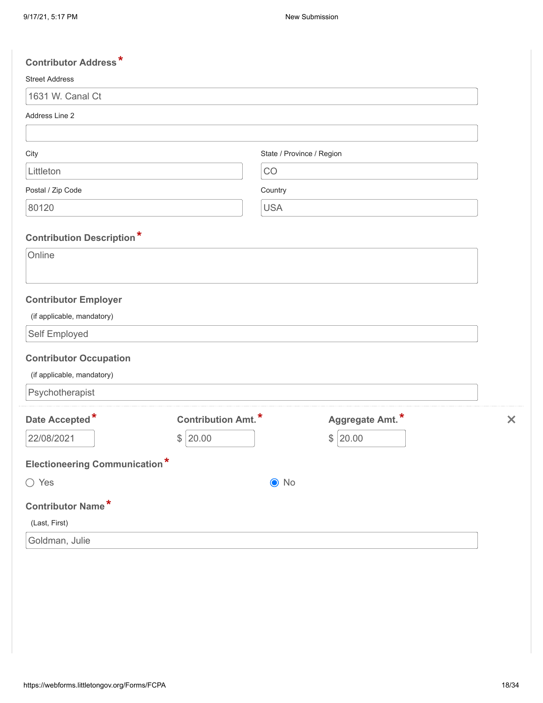| <b>Contributor Address*</b>          |                            |                           |                 |                           |
|--------------------------------------|----------------------------|---------------------------|-----------------|---------------------------|
| <b>Street Address</b>                |                            |                           |                 |                           |
| 1631 W. Canal Ct                     |                            |                           |                 |                           |
| Address Line 2                       |                            |                           |                 |                           |
|                                      |                            |                           |                 |                           |
| City                                 |                            | State / Province / Region |                 |                           |
| Littleton                            |                            | CO                        |                 |                           |
| Postal / Zip Code                    |                            | Country                   |                 |                           |
| 80120                                |                            | <b>USA</b>                |                 |                           |
|                                      |                            |                           |                 |                           |
| <b>Contribution Description*</b>     |                            |                           |                 |                           |
| Online                               |                            |                           |                 |                           |
|                                      |                            |                           |                 |                           |
| <b>Contributor Employer</b>          |                            |                           |                 |                           |
| (if applicable, mandatory)           |                            |                           |                 |                           |
| Self Employed                        |                            |                           |                 |                           |
| <b>Contributor Occupation</b>        |                            |                           |                 |                           |
| (if applicable, mandatory)           |                            |                           |                 |                           |
| Psychotherapist                      |                            |                           |                 |                           |
| Date Accepted*                       | <b>Contribution Amt.</b> * |                           | Aggregate Amt.* | $\boldsymbol{\mathsf{x}}$ |
| 22/08/2021                           | 20.00<br>$\frac{1}{2}$     |                           | 20.00<br>\$     |                           |
|                                      |                            |                           |                 |                           |
| <b>Electioneering Communication*</b> |                            |                           |                 |                           |
| ◯ Yes                                |                            | $\bullet$ No              |                 |                           |
| <b>Contributor Name*</b>             |                            |                           |                 |                           |
| (Last, First)                        |                            |                           |                 |                           |
| Goldman, Julie                       |                            |                           |                 |                           |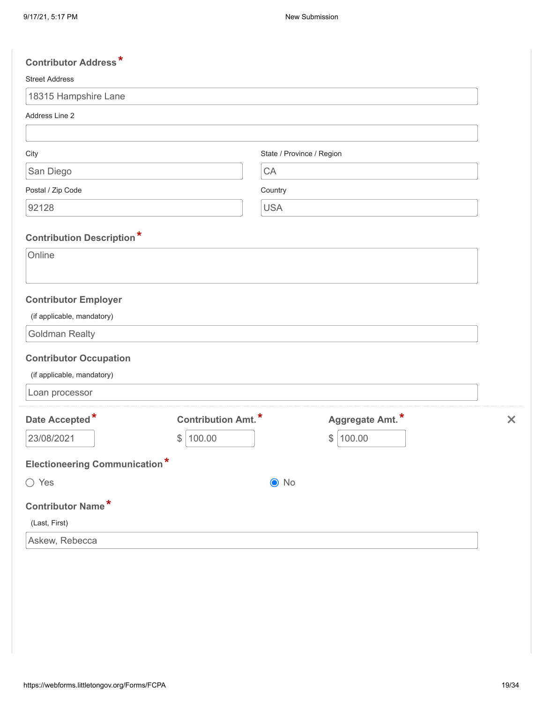| <b>Contributor Address*</b>                |                           |                           |                 |                           |
|--------------------------------------------|---------------------------|---------------------------|-----------------|---------------------------|
| <b>Street Address</b>                      |                           |                           |                 |                           |
| 18315 Hampshire Lane                       |                           |                           |                 |                           |
| Address Line 2                             |                           |                           |                 |                           |
|                                            |                           |                           |                 |                           |
| City                                       |                           | State / Province / Region |                 |                           |
| San Diego                                  |                           | CA                        |                 |                           |
| Postal / Zip Code                          |                           | Country                   |                 |                           |
| 92128                                      |                           | <b>USA</b>                |                 |                           |
|                                            |                           |                           |                 |                           |
| <b>Contribution Description*</b><br>Online |                           |                           |                 |                           |
|                                            |                           |                           |                 |                           |
|                                            |                           |                           |                 |                           |
| <b>Contributor Employer</b>                |                           |                           |                 |                           |
| (if applicable, mandatory)                 |                           |                           |                 |                           |
| <b>Goldman Realty</b>                      |                           |                           |                 |                           |
| <b>Contributor Occupation</b>              |                           |                           |                 |                           |
| (if applicable, mandatory)                 |                           |                           |                 |                           |
| Loan processor                             |                           |                           |                 |                           |
| Date Accepted*                             | <b>Contribution Amt.*</b> |                           | Aggregate Amt.* | $\boldsymbol{\mathsf{x}}$ |
| 23/08/2021                                 | 100.00<br>$\frac{1}{2}$   |                           | \$<br>100.00    |                           |
|                                            |                           |                           |                 |                           |
| <b>Electioneering Communication*</b>       |                           |                           |                 |                           |
| ◯ Yes                                      |                           | $\odot$ No                |                 |                           |
| <b>Contributor Name*</b>                   |                           |                           |                 |                           |
| (Last, First)                              |                           |                           |                 |                           |
| Askew, Rebecca                             |                           |                           |                 |                           |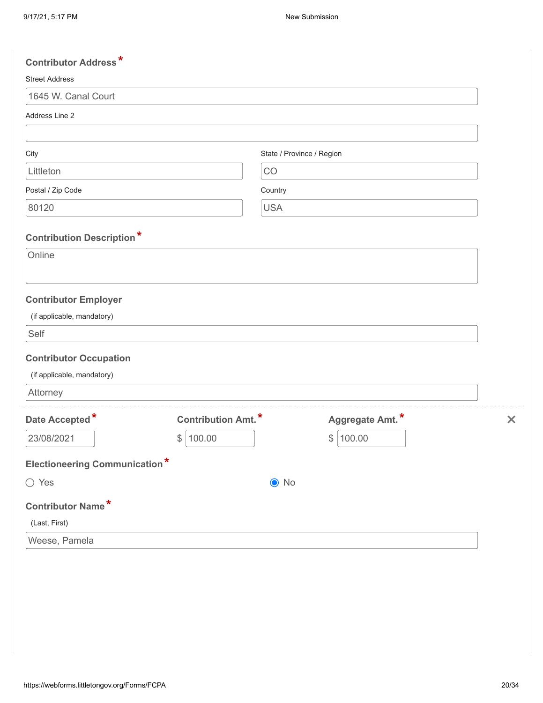| <b>Street Address</b><br>1645 W. Canal Court<br>Address Line 2<br>State / Province / Region<br>City<br>Littleton<br>CO<br>Postal / Zip Code<br>Country<br>80120<br><b>USA</b><br><b>Contribution Description*</b><br>Online<br><b>Contributor Employer</b><br>(if applicable, mandatory)<br>Self<br><b>Contributor Occupation</b><br>(if applicable, mandatory)<br>Attorney<br>Aggregate Amt.*<br>Date Accepted*<br><b>Contribution Amt.</b> *<br>23/08/2021<br>100.00<br>\$<br>100.00<br>\$<br><b>Electioneering Communication*</b><br>$\bigcirc$ Yes<br>$\odot$ No<br><b>Contributor Name*</b><br>(Last, First)<br>Weese, Pamela | <b>Contributor Address*</b> |  |                           |
|------------------------------------------------------------------------------------------------------------------------------------------------------------------------------------------------------------------------------------------------------------------------------------------------------------------------------------------------------------------------------------------------------------------------------------------------------------------------------------------------------------------------------------------------------------------------------------------------------------------------------------|-----------------------------|--|---------------------------|
|                                                                                                                                                                                                                                                                                                                                                                                                                                                                                                                                                                                                                                    |                             |  |                           |
|                                                                                                                                                                                                                                                                                                                                                                                                                                                                                                                                                                                                                                    |                             |  |                           |
|                                                                                                                                                                                                                                                                                                                                                                                                                                                                                                                                                                                                                                    |                             |  |                           |
|                                                                                                                                                                                                                                                                                                                                                                                                                                                                                                                                                                                                                                    |                             |  |                           |
|                                                                                                                                                                                                                                                                                                                                                                                                                                                                                                                                                                                                                                    |                             |  |                           |
|                                                                                                                                                                                                                                                                                                                                                                                                                                                                                                                                                                                                                                    |                             |  |                           |
|                                                                                                                                                                                                                                                                                                                                                                                                                                                                                                                                                                                                                                    |                             |  |                           |
|                                                                                                                                                                                                                                                                                                                                                                                                                                                                                                                                                                                                                                    |                             |  |                           |
|                                                                                                                                                                                                                                                                                                                                                                                                                                                                                                                                                                                                                                    |                             |  |                           |
|                                                                                                                                                                                                                                                                                                                                                                                                                                                                                                                                                                                                                                    |                             |  |                           |
|                                                                                                                                                                                                                                                                                                                                                                                                                                                                                                                                                                                                                                    |                             |  |                           |
|                                                                                                                                                                                                                                                                                                                                                                                                                                                                                                                                                                                                                                    |                             |  |                           |
|                                                                                                                                                                                                                                                                                                                                                                                                                                                                                                                                                                                                                                    |                             |  |                           |
|                                                                                                                                                                                                                                                                                                                                                                                                                                                                                                                                                                                                                                    |                             |  | $\boldsymbol{\mathsf{x}}$ |
|                                                                                                                                                                                                                                                                                                                                                                                                                                                                                                                                                                                                                                    |                             |  |                           |
|                                                                                                                                                                                                                                                                                                                                                                                                                                                                                                                                                                                                                                    |                             |  |                           |
|                                                                                                                                                                                                                                                                                                                                                                                                                                                                                                                                                                                                                                    |                             |  |                           |
|                                                                                                                                                                                                                                                                                                                                                                                                                                                                                                                                                                                                                                    |                             |  |                           |
|                                                                                                                                                                                                                                                                                                                                                                                                                                                                                                                                                                                                                                    |                             |  |                           |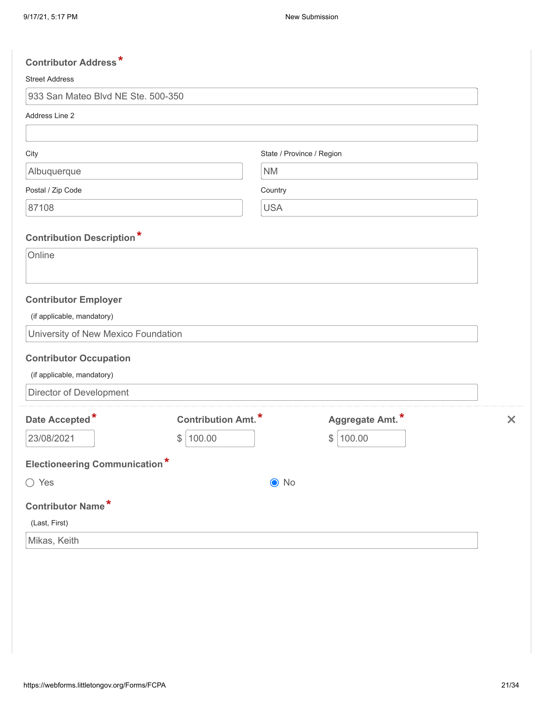| <b>Contributor Address*</b>          |                           |                           |                 |          |
|--------------------------------------|---------------------------|---------------------------|-----------------|----------|
| <b>Street Address</b>                |                           |                           |                 |          |
| 933 San Mateo Blvd NE Ste. 500-350   |                           |                           |                 |          |
| Address Line 2                       |                           |                           |                 |          |
|                                      |                           |                           |                 |          |
| City                                 |                           | State / Province / Region |                 |          |
| Albuquerque                          |                           | <b>NM</b>                 |                 |          |
| Postal / Zip Code                    |                           | Country                   |                 |          |
| 87108                                |                           | <b>USA</b>                |                 |          |
| <b>Contribution Description*</b>     |                           |                           |                 |          |
| Online                               |                           |                           |                 |          |
|                                      |                           |                           |                 |          |
| <b>Contributor Employer</b>          |                           |                           |                 |          |
| (if applicable, mandatory)           |                           |                           |                 |          |
| University of New Mexico Foundation  |                           |                           |                 |          |
| <b>Contributor Occupation</b>        |                           |                           |                 |          |
| (if applicable, mandatory)           |                           |                           |                 |          |
| Director of Development              |                           |                           |                 |          |
| Date Accepted*                       | <b>Contribution Amt.*</b> |                           | Aggregate Amt.* | $\times$ |
| 23/08/2021                           | \$<br>100.00              |                           | \$<br>100.00    |          |
| <b>Electioneering Communication*</b> |                           |                           |                 |          |
| ◯ Yes                                |                           | $\bullet$ No              |                 |          |
| <b>Contributor Name*</b>             |                           |                           |                 |          |
| (Last, First)                        |                           |                           |                 |          |
| Mikas, Keith                         |                           |                           |                 |          |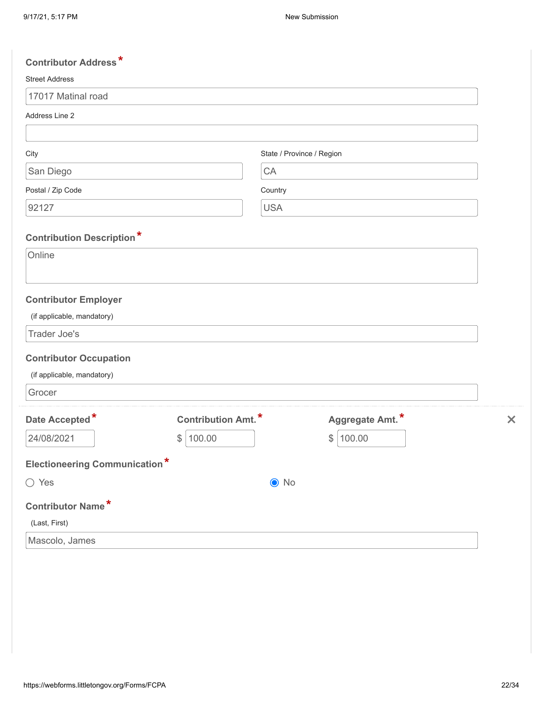| <b>Contributor Address*</b>                |                           |                           |                 |                           |
|--------------------------------------------|---------------------------|---------------------------|-----------------|---------------------------|
| <b>Street Address</b>                      |                           |                           |                 |                           |
| 17017 Matinal road                         |                           |                           |                 |                           |
| Address Line 2                             |                           |                           |                 |                           |
|                                            |                           |                           |                 |                           |
| City                                       |                           | State / Province / Region |                 |                           |
| San Diego                                  |                           | CA                        |                 |                           |
| Postal / Zip Code                          |                           | Country                   |                 |                           |
| 92127                                      |                           | <b>USA</b>                |                 |                           |
|                                            |                           |                           |                 |                           |
| <b>Contribution Description*</b><br>Online |                           |                           |                 |                           |
|                                            |                           |                           |                 |                           |
|                                            |                           |                           |                 |                           |
| <b>Contributor Employer</b>                |                           |                           |                 |                           |
| (if applicable, mandatory)                 |                           |                           |                 |                           |
| Trader Joe's                               |                           |                           |                 |                           |
| <b>Contributor Occupation</b>              |                           |                           |                 |                           |
| (if applicable, mandatory)                 |                           |                           |                 |                           |
| Grocer                                     |                           |                           |                 |                           |
| Date Accepted*                             | <b>Contribution Amt.*</b> |                           | Aggregate Amt.* | $\boldsymbol{\mathsf{x}}$ |
| 24/08/2021                                 | 100.00<br>$\frac{1}{2}$   |                           | \$<br>100.00    |                           |
|                                            |                           |                           |                 |                           |
| <b>Electioneering Communication*</b>       |                           |                           |                 |                           |
| $\bigcirc$ Yes                             |                           | $\bullet$ No              |                 |                           |
| Contributor Name*                          |                           |                           |                 |                           |
| (Last, First)                              |                           |                           |                 |                           |
| Mascolo, James                             |                           |                           |                 |                           |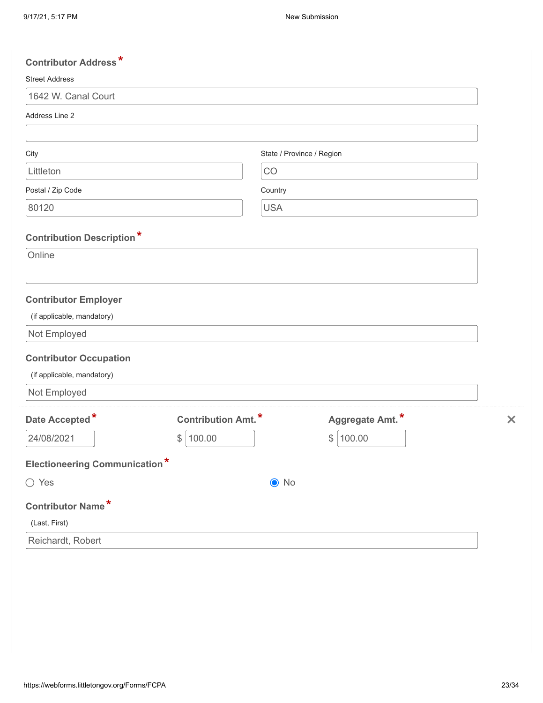| <b>Contributor Address*</b>                |                           |                           |                 |                           |
|--------------------------------------------|---------------------------|---------------------------|-----------------|---------------------------|
| <b>Street Address</b>                      |                           |                           |                 |                           |
| 1642 W. Canal Court                        |                           |                           |                 |                           |
| Address Line 2                             |                           |                           |                 |                           |
|                                            |                           |                           |                 |                           |
| City                                       |                           | State / Province / Region |                 |                           |
| Littleton                                  |                           | CO                        |                 |                           |
| Postal / Zip Code                          |                           | Country                   |                 |                           |
| 80120                                      |                           | <b>USA</b>                |                 |                           |
|                                            |                           |                           |                 |                           |
| <b>Contribution Description*</b><br>Online |                           |                           |                 |                           |
|                                            |                           |                           |                 |                           |
|                                            |                           |                           |                 |                           |
| <b>Contributor Employer</b>                |                           |                           |                 |                           |
| (if applicable, mandatory)                 |                           |                           |                 |                           |
| Not Employed                               |                           |                           |                 |                           |
| <b>Contributor Occupation</b>              |                           |                           |                 |                           |
| (if applicable, mandatory)                 |                           |                           |                 |                           |
| Not Employed                               |                           |                           |                 |                           |
| Date Accepted*                             | <b>Contribution Amt.*</b> |                           | Aggregate Amt.* | $\boldsymbol{\mathsf{x}}$ |
| 24/08/2021                                 | 100.00<br>$\frac{1}{2}$   |                           | \$<br>100.00    |                           |
|                                            |                           |                           |                 |                           |
| <b>Electioneering Communication*</b>       |                           |                           |                 |                           |
| $\bigcirc$ Yes                             |                           | $\odot$ No                |                 |                           |
| Contributor Name*                          |                           |                           |                 |                           |
| (Last, First)                              |                           |                           |                 |                           |
| Reichardt, Robert                          |                           |                           |                 |                           |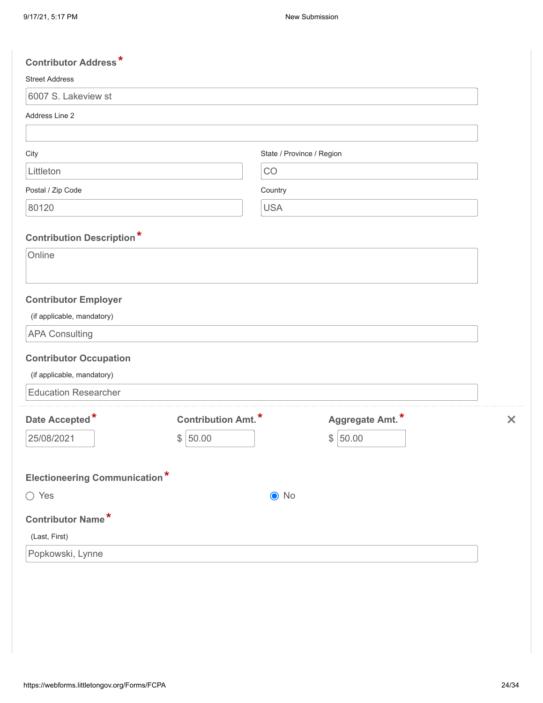| <b>Contributor Address*</b>          |                            |                           |                 |                           |
|--------------------------------------|----------------------------|---------------------------|-----------------|---------------------------|
| <b>Street Address</b>                |                            |                           |                 |                           |
| 6007 S. Lakeview st                  |                            |                           |                 |                           |
| Address Line 2                       |                            |                           |                 |                           |
|                                      |                            |                           |                 |                           |
| City                                 |                            | State / Province / Region |                 |                           |
| Littleton                            |                            | CO                        |                 |                           |
| Postal / Zip Code                    |                            | Country                   |                 |                           |
| 80120                                |                            | <b>USA</b>                |                 |                           |
| <b>Contribution Description*</b>     |                            |                           |                 |                           |
| Online                               |                            |                           |                 |                           |
|                                      |                            |                           |                 |                           |
| <b>Contributor Employer</b>          |                            |                           |                 |                           |
| (if applicable, mandatory)           |                            |                           |                 |                           |
| <b>APA Consulting</b>                |                            |                           |                 |                           |
| <b>Contributor Occupation</b>        |                            |                           |                 |                           |
| (if applicable, mandatory)           |                            |                           |                 |                           |
| <b>Education Researcher</b>          |                            |                           |                 |                           |
| Date Accepted*                       | <b>Contribution Amt.</b> * |                           | Aggregate Amt.* | $\boldsymbol{\mathsf{x}}$ |
| 25/08/2021                           | 50.00<br>\$                |                           | \$<br>50.00     |                           |
|                                      |                            |                           |                 |                           |
| <b>Electioneering Communication*</b> |                            |                           |                 |                           |
| $\bigcirc$ Yes                       |                            | $\bullet$ No              |                 |                           |
| <b>Contributor Name*</b>             |                            |                           |                 |                           |
| (Last, First)                        |                            |                           |                 |                           |
| Popkowski, Lynne                     |                            |                           |                 |                           |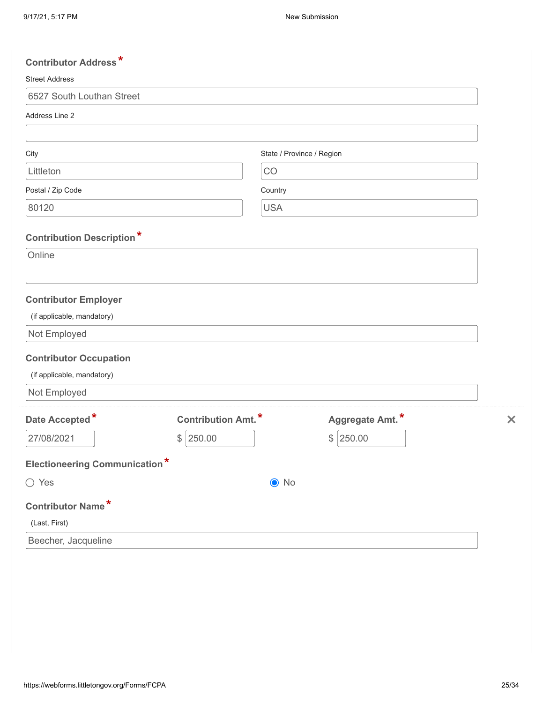| <b>Contributor Address*</b>          |                           |                           |                 |                           |
|--------------------------------------|---------------------------|---------------------------|-----------------|---------------------------|
| <b>Street Address</b>                |                           |                           |                 |                           |
| 6527 South Louthan Street            |                           |                           |                 |                           |
| Address Line 2                       |                           |                           |                 |                           |
|                                      |                           |                           |                 |                           |
| City                                 |                           | State / Province / Region |                 |                           |
| Littleton                            |                           | CO                        |                 |                           |
| Postal / Zip Code                    |                           | Country                   |                 |                           |
| 80120                                |                           | <b>USA</b>                |                 |                           |
|                                      |                           |                           |                 |                           |
| <b>Contribution Description*</b>     |                           |                           |                 |                           |
| Online                               |                           |                           |                 |                           |
|                                      |                           |                           |                 |                           |
| <b>Contributor Employer</b>          |                           |                           |                 |                           |
| (if applicable, mandatory)           |                           |                           |                 |                           |
| Not Employed                         |                           |                           |                 |                           |
| <b>Contributor Occupation</b>        |                           |                           |                 |                           |
| (if applicable, mandatory)           |                           |                           |                 |                           |
| Not Employed                         |                           |                           |                 |                           |
| Date Accepted*                       | <b>Contribution Amt.*</b> |                           | Aggregate Amt.* | $\boldsymbol{\mathsf{x}}$ |
| 27/08/2021                           | 250.00<br>$\frac{1}{2}$   |                           | 250.00<br>\$    |                           |
|                                      |                           |                           |                 |                           |
| <b>Electioneering Communication*</b> |                           |                           |                 |                           |
| $\bigcirc$ Yes                       |                           | $\odot$ No                |                 |                           |
| Contributor Name*                    |                           |                           |                 |                           |
| (Last, First)                        |                           |                           |                 |                           |
| Beecher, Jacqueline                  |                           |                           |                 |                           |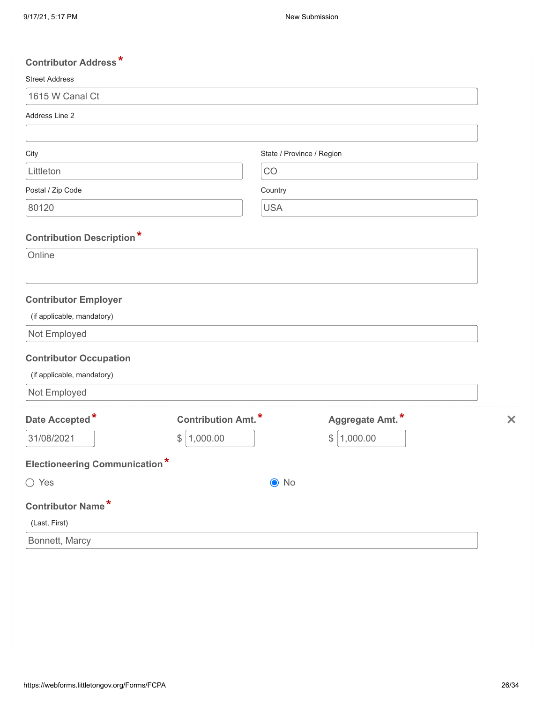| <b>Contributor Address*</b>          |                            |                           |                           |
|--------------------------------------|----------------------------|---------------------------|---------------------------|
| <b>Street Address</b>                |                            |                           |                           |
| 1615 W Canal Ct                      |                            |                           |                           |
| Address Line 2                       |                            |                           |                           |
|                                      |                            |                           |                           |
| City                                 |                            | State / Province / Region |                           |
| Littleton                            | CO                         |                           |                           |
| Postal / Zip Code                    | Country                    |                           |                           |
| 80120                                | <b>USA</b>                 |                           |                           |
| <b>Contribution Description*</b>     |                            |                           |                           |
| Online                               |                            |                           |                           |
|                                      |                            |                           |                           |
| <b>Contributor Employer</b>          |                            |                           |                           |
| (if applicable, mandatory)           |                            |                           |                           |
| Not Employed                         |                            |                           |                           |
| <b>Contributor Occupation</b>        |                            |                           |                           |
| (if applicable, mandatory)           |                            |                           |                           |
| Not Employed                         |                            |                           |                           |
| Date Accepted*                       | <b>Contribution Amt.</b> * | Aggregate Amt.*           | $\boldsymbol{\mathsf{x}}$ |
| 31/08/2021                           | \$<br>1,000.00             | 1,000.00<br>\$            |                           |
| <b>Electioneering Communication*</b> |                            |                           |                           |
| $\bigcirc$ Yes                       |                            | $\bullet$ No              |                           |
| <b>Contributor Name*</b>             |                            |                           |                           |
| (Last, First)                        |                            |                           |                           |
| Bonnett, Marcy                       |                            |                           |                           |
|                                      |                            |                           |                           |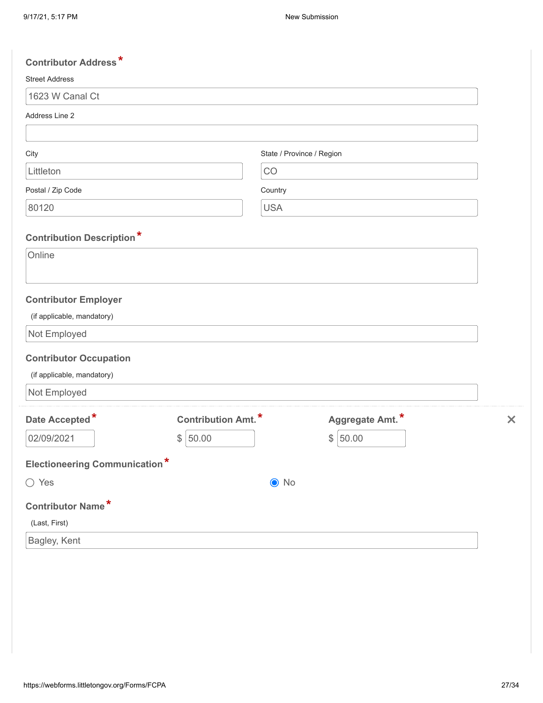| <b>Contributor Address*</b>          |                            |                           |                 |                           |
|--------------------------------------|----------------------------|---------------------------|-----------------|---------------------------|
| <b>Street Address</b>                |                            |                           |                 |                           |
| 1623 W Canal Ct                      |                            |                           |                 |                           |
| Address Line 2                       |                            |                           |                 |                           |
|                                      |                            |                           |                 |                           |
| City                                 |                            | State / Province / Region |                 |                           |
| Littleton                            | CO                         |                           |                 |                           |
| Postal / Zip Code                    |                            | Country                   |                 |                           |
| 80120                                |                            | <b>USA</b>                |                 |                           |
| <b>Contribution Description*</b>     |                            |                           |                 |                           |
| Online                               |                            |                           |                 |                           |
|                                      |                            |                           |                 |                           |
|                                      |                            |                           |                 |                           |
| <b>Contributor Employer</b>          |                            |                           |                 |                           |
| (if applicable, mandatory)           |                            |                           |                 |                           |
| Not Employed                         |                            |                           |                 |                           |
| <b>Contributor Occupation</b>        |                            |                           |                 |                           |
| (if applicable, mandatory)           |                            |                           |                 |                           |
| Not Employed                         |                            |                           |                 |                           |
| Date Accepted*                       | <b>Contribution Amt.</b> * |                           | Aggregate Amt.* | $\boldsymbol{\mathsf{x}}$ |
| 02/09/2021<br>$\frac{1}{2}$          | 50.00                      |                           | 50.00<br>\$     |                           |
|                                      |                            |                           |                 |                           |
| <b>Electioneering Communication*</b> |                            |                           |                 |                           |
| ◯ Yes                                |                            | $\bullet$ No              |                 |                           |
| Contributor Name*                    |                            |                           |                 |                           |
| (Last, First)                        |                            |                           |                 |                           |
| Bagley, Kent                         |                            |                           |                 |                           |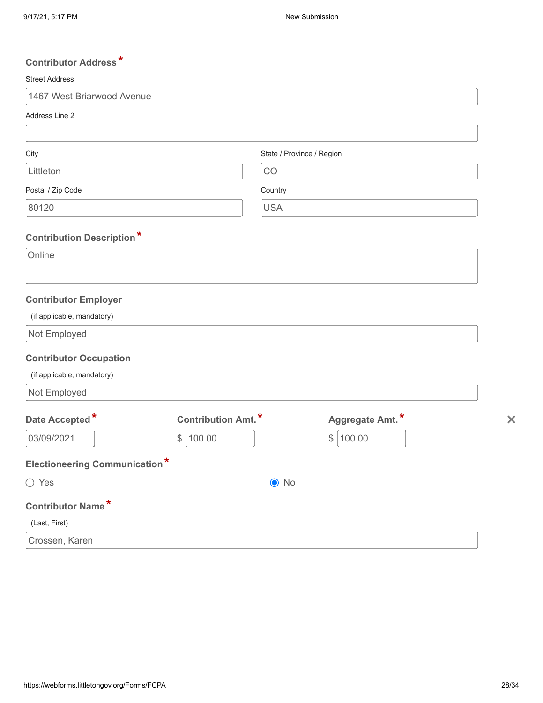| <b>Contributor Address*</b>          |                           |                           |                 |                           |
|--------------------------------------|---------------------------|---------------------------|-----------------|---------------------------|
| <b>Street Address</b>                |                           |                           |                 |                           |
| 1467 West Briarwood Avenue           |                           |                           |                 |                           |
| Address Line 2                       |                           |                           |                 |                           |
|                                      |                           |                           |                 |                           |
| City                                 |                           | State / Province / Region |                 |                           |
| Littleton                            |                           | CO                        |                 |                           |
| Postal / Zip Code                    |                           | Country                   |                 |                           |
| 80120                                |                           | <b>USA</b>                |                 |                           |
| <b>Contribution Description*</b>     |                           |                           |                 |                           |
| Online                               |                           |                           |                 |                           |
| <b>Contributor Employer</b>          |                           |                           |                 |                           |
| (if applicable, mandatory)           |                           |                           |                 |                           |
| Not Employed                         |                           |                           |                 |                           |
| <b>Contributor Occupation</b>        |                           |                           |                 |                           |
| (if applicable, mandatory)           |                           |                           |                 |                           |
| Not Employed                         |                           |                           |                 |                           |
| Date Accepted*                       | <b>Contribution Amt.*</b> |                           | Aggregate Amt.* | $\boldsymbol{\mathsf{x}}$ |
| 03/09/2021                           | \$<br>100.00              |                           | \$<br>100.00    |                           |
| <b>Electioneering Communication*</b> |                           |                           |                 |                           |
| $\bigcirc$ Yes                       |                           | $\odot$ No                |                 |                           |
| <b>Contributor Name*</b>             |                           |                           |                 |                           |
| (Last, First)                        |                           |                           |                 |                           |
| Crossen, Karen                       |                           |                           |                 |                           |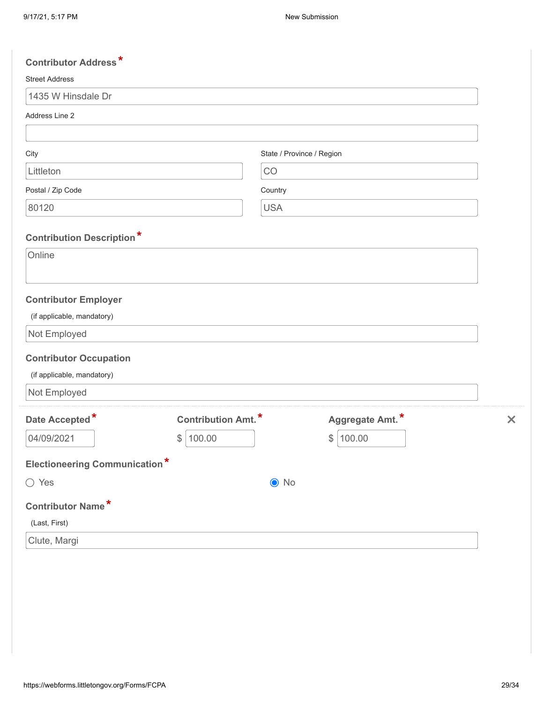| <b>Contributor Address*</b>                |                           |                           |                 |                           |
|--------------------------------------------|---------------------------|---------------------------|-----------------|---------------------------|
| <b>Street Address</b>                      |                           |                           |                 |                           |
| 1435 W Hinsdale Dr                         |                           |                           |                 |                           |
| Address Line 2                             |                           |                           |                 |                           |
|                                            |                           |                           |                 |                           |
| City                                       |                           | State / Province / Region |                 |                           |
| Littleton                                  |                           | CO                        |                 |                           |
| Postal / Zip Code                          |                           | Country                   |                 |                           |
| 80120                                      |                           | <b>USA</b>                |                 |                           |
|                                            |                           |                           |                 |                           |
| <b>Contribution Description*</b><br>Online |                           |                           |                 |                           |
|                                            |                           |                           |                 |                           |
|                                            |                           |                           |                 |                           |
| <b>Contributor Employer</b>                |                           |                           |                 |                           |
| (if applicable, mandatory)                 |                           |                           |                 |                           |
| Not Employed                               |                           |                           |                 |                           |
| <b>Contributor Occupation</b>              |                           |                           |                 |                           |
| (if applicable, mandatory)                 |                           |                           |                 |                           |
| Not Employed                               |                           |                           |                 |                           |
| Date Accepted*                             | <b>Contribution Amt.*</b> |                           | Aggregate Amt.* | $\boldsymbol{\mathsf{x}}$ |
| 04/09/2021                                 | 100.00<br>$\frac{1}{2}$   |                           | \$<br>100.00    |                           |
| <b>Electioneering Communication*</b>       |                           |                           |                 |                           |
|                                            |                           |                           |                 |                           |
| $\bigcirc$ Yes                             |                           | $\bullet$ No              |                 |                           |
| Contributor Name*                          |                           |                           |                 |                           |
| (Last, First)                              |                           |                           |                 |                           |
| Clute, Margi                               |                           |                           |                 |                           |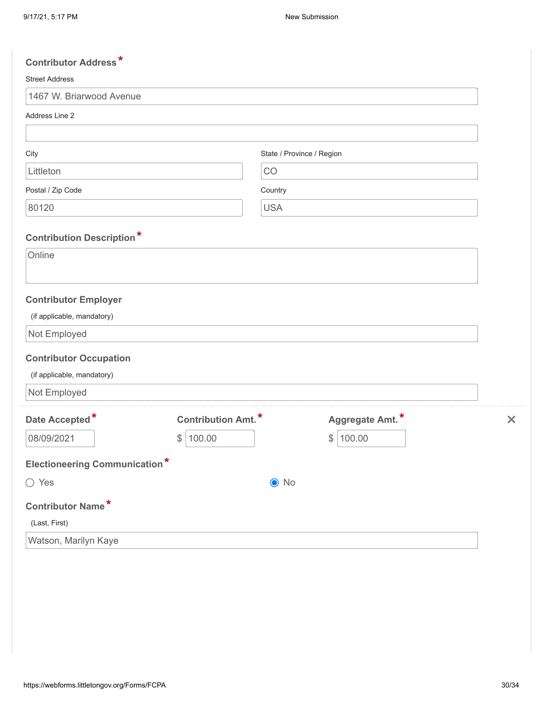| <b>Contributor Address*</b>          |                           |                           |                 |                           |
|--------------------------------------|---------------------------|---------------------------|-----------------|---------------------------|
| <b>Street Address</b>                |                           |                           |                 |                           |
| 1467 W. Briarwood Avenue             |                           |                           |                 |                           |
| Address Line 2                       |                           |                           |                 |                           |
|                                      |                           |                           |                 |                           |
| City                                 |                           | State / Province / Region |                 |                           |
| Littleton                            |                           | CO                        |                 |                           |
| Postal / Zip Code                    |                           | Country                   |                 |                           |
| 80120                                |                           | <b>USA</b>                |                 |                           |
|                                      |                           |                           |                 |                           |
| <b>Contribution Description*</b>     |                           |                           |                 |                           |
| Online                               |                           |                           |                 |                           |
|                                      |                           |                           |                 |                           |
| <b>Contributor Employer</b>          |                           |                           |                 |                           |
| (if applicable, mandatory)           |                           |                           |                 |                           |
| Not Employed                         |                           |                           |                 |                           |
| <b>Contributor Occupation</b>        |                           |                           |                 |                           |
| (if applicable, mandatory)           |                           |                           |                 |                           |
| Not Employed                         |                           |                           |                 |                           |
| Date Accepted*                       | <b>Contribution Amt.*</b> |                           | Aggregate Amt.* | $\boldsymbol{\mathsf{x}}$ |
| 08/09/2021                           | 100.00<br>$\frac{1}{2}$   |                           | \$<br>100.00    |                           |
|                                      |                           |                           |                 |                           |
| <b>Electioneering Communication*</b> |                           |                           |                 |                           |
| $\bigcirc$ Yes                       |                           | $\odot$ No                |                 |                           |
| Contributor Name*                    |                           |                           |                 |                           |
| (Last, First)                        |                           |                           |                 |                           |
| Watson, Marilyn Kaye                 |                           |                           |                 |                           |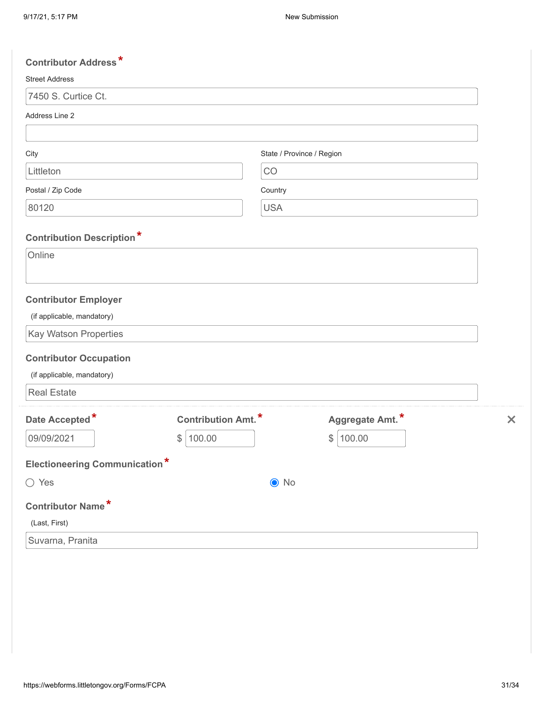| <b>Contributor Address*</b>                |                           |                           |                 |                           |
|--------------------------------------------|---------------------------|---------------------------|-----------------|---------------------------|
| <b>Street Address</b>                      |                           |                           |                 |                           |
| 7450 S. Curtice Ct.                        |                           |                           |                 |                           |
| Address Line 2                             |                           |                           |                 |                           |
|                                            |                           |                           |                 |                           |
| City                                       |                           | State / Province / Region |                 |                           |
| Littleton                                  |                           | CO                        |                 |                           |
| Postal / Zip Code                          |                           | Country                   |                 |                           |
| 80120                                      |                           | <b>USA</b>                |                 |                           |
|                                            |                           |                           |                 |                           |
| <b>Contribution Description*</b><br>Online |                           |                           |                 |                           |
|                                            |                           |                           |                 |                           |
|                                            |                           |                           |                 |                           |
| <b>Contributor Employer</b>                |                           |                           |                 |                           |
| (if applicable, mandatory)                 |                           |                           |                 |                           |
| Kay Watson Properties                      |                           |                           |                 |                           |
| <b>Contributor Occupation</b>              |                           |                           |                 |                           |
| (if applicable, mandatory)                 |                           |                           |                 |                           |
| <b>Real Estate</b>                         |                           |                           |                 |                           |
| Date Accepted*                             | <b>Contribution Amt.*</b> |                           | Aggregate Amt.* | $\boldsymbol{\mathsf{x}}$ |
| 09/09/2021                                 | 100.00<br>$\frac{1}{2}$   |                           | \$<br>100.00    |                           |
|                                            |                           |                           |                 |                           |
| <b>Electioneering Communication*</b>       |                           |                           |                 |                           |
| ◯ Yes                                      |                           | $\bullet$ No              |                 |                           |
| <b>Contributor Name*</b>                   |                           |                           |                 |                           |
| (Last, First)                              |                           |                           |                 |                           |
| Suvarna, Pranita                           |                           |                           |                 |                           |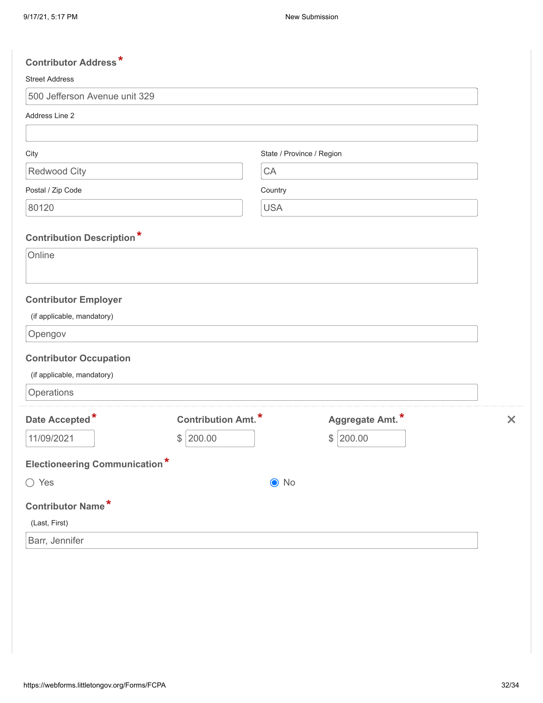| <b>Contributor Address*</b>          |                            |                           |                 |                           |
|--------------------------------------|----------------------------|---------------------------|-----------------|---------------------------|
| <b>Street Address</b>                |                            |                           |                 |                           |
| 500 Jefferson Avenue unit 329        |                            |                           |                 |                           |
| Address Line 2                       |                            |                           |                 |                           |
|                                      |                            |                           |                 |                           |
| City                                 |                            | State / Province / Region |                 |                           |
| Redwood City                         |                            | CA                        |                 |                           |
| Postal / Zip Code                    |                            | Country                   |                 |                           |
| 80120                                |                            | <b>USA</b>                |                 |                           |
|                                      |                            |                           |                 |                           |
| <b>Contribution Description*</b>     |                            |                           |                 |                           |
| Online                               |                            |                           |                 |                           |
|                                      |                            |                           |                 |                           |
| <b>Contributor Employer</b>          |                            |                           |                 |                           |
| (if applicable, mandatory)           |                            |                           |                 |                           |
| Opengov                              |                            |                           |                 |                           |
| <b>Contributor Occupation</b>        |                            |                           |                 |                           |
| (if applicable, mandatory)           |                            |                           |                 |                           |
| Operations                           |                            |                           |                 |                           |
| Date Accepted*                       | <b>Contribution Amt.</b> * |                           | Aggregate Amt.* | $\boldsymbol{\mathsf{x}}$ |
| 11/09/2021                           | \$<br>200.00               |                           | \$<br>200.00    |                           |
|                                      |                            |                           |                 |                           |
| <b>Electioneering Communication*</b> |                            |                           |                 |                           |
| ◯ Yes                                |                            | $\odot$ No                |                 |                           |
| <b>Contributor Name*</b>             |                            |                           |                 |                           |
| (Last, First)                        |                            |                           |                 |                           |
| Barr, Jennifer                       |                            |                           |                 |                           |
|                                      |                            |                           |                 |                           |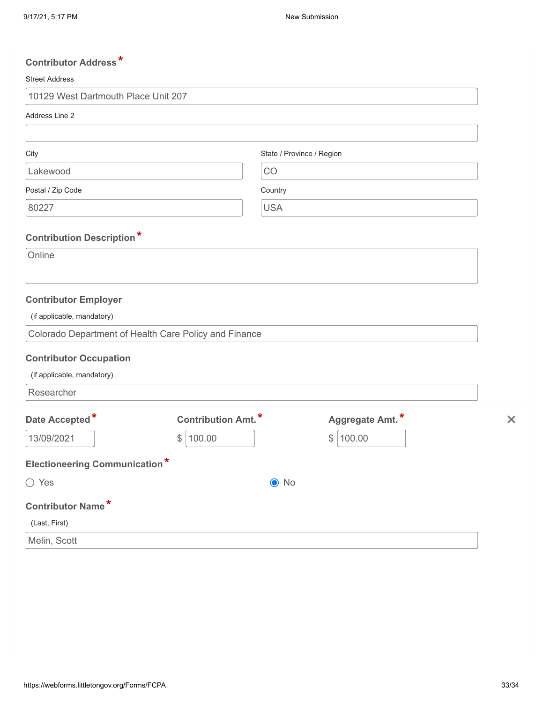| <b>Contributor Address*</b>          |                                                       |                           |                           |
|--------------------------------------|-------------------------------------------------------|---------------------------|---------------------------|
| <b>Street Address</b>                |                                                       |                           |                           |
| 10129 West Dartmouth Place Unit 207  |                                                       |                           |                           |
| Address Line 2                       |                                                       |                           |                           |
|                                      |                                                       |                           |                           |
| City                                 |                                                       | State / Province / Region |                           |
| Lakewood                             |                                                       | CO                        |                           |
| Postal / Zip Code                    |                                                       | Country                   |                           |
| 80227                                |                                                       | <b>USA</b>                |                           |
| <b>Contribution Description*</b>     |                                                       |                           |                           |
| Online                               |                                                       |                           |                           |
|                                      |                                                       |                           |                           |
| <b>Contributor Employer</b>          |                                                       |                           |                           |
| (if applicable, mandatory)           |                                                       |                           |                           |
|                                      | Colorado Department of Health Care Policy and Finance |                           |                           |
| <b>Contributor Occupation</b>        |                                                       |                           |                           |
| (if applicable, mandatory)           |                                                       |                           |                           |
| Researcher                           |                                                       |                           |                           |
| Date Accepted*                       | <b>Contribution Amt.</b> *                            | Aggregate Amt.*           | $\boldsymbol{\mathsf{x}}$ |
| 13/09/2021                           | \$<br>100.00                                          | \$<br>100.00              |                           |
|                                      |                                                       |                           |                           |
| <b>Electioneering Communication*</b> |                                                       |                           |                           |
| $\bigcirc$ Yes                       |                                                       | $\odot$ No                |                           |
| <b>Contributor Name*</b>             |                                                       |                           |                           |
| (Last, First)                        |                                                       |                           |                           |
| Melin, Scott                         |                                                       |                           |                           |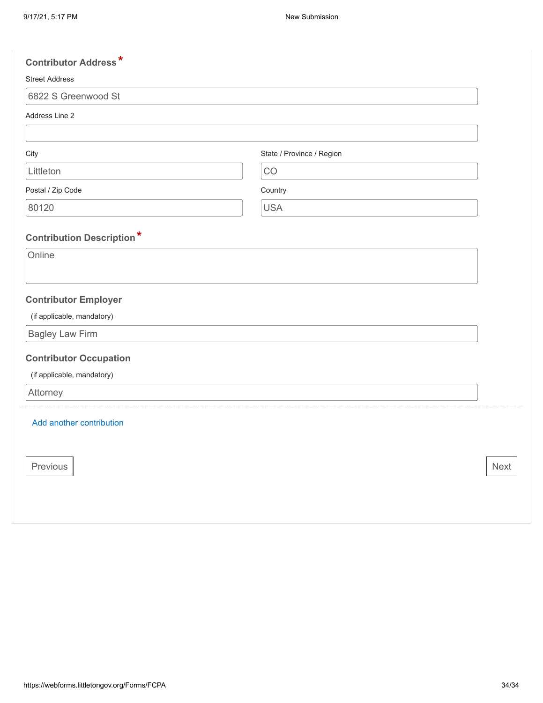| <b>Contributor Address*</b>      |                           |             |
|----------------------------------|---------------------------|-------------|
| <b>Street Address</b>            |                           |             |
| 6822 S Greenwood St              |                           |             |
| Address Line 2                   |                           |             |
|                                  |                           |             |
| City                             | State / Province / Region |             |
| Littleton                        | CO                        |             |
| Postal / Zip Code                | Country                   |             |
| 80120                            | <b>USA</b>                |             |
| <b>Contribution Description*</b> |                           |             |
| Online                           |                           |             |
|                                  |                           |             |
| <b>Contributor Employer</b>      |                           |             |
| (if applicable, mandatory)       |                           |             |
| <b>Bagley Law Firm</b>           |                           |             |
| <b>Contributor Occupation</b>    |                           |             |
| (if applicable, mandatory)       |                           |             |
| Attorney                         |                           |             |
| Add another contribution         |                           |             |
|                                  |                           |             |
|                                  |                           |             |
| Previous                         |                           | <b>Next</b> |
|                                  |                           |             |
|                                  |                           |             |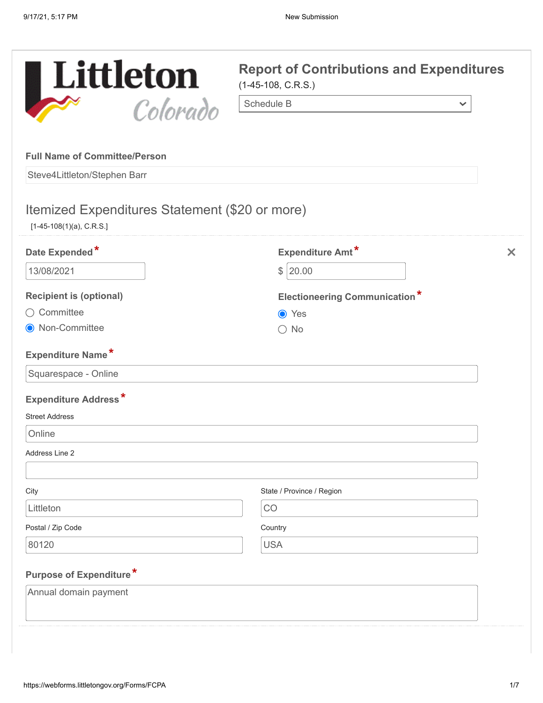

 $\checkmark$ 

#### **Full Name of Committee/Person**

Steve4Littleton/Stephen Barr

# Itemized Expenditures Statement (\$20 or more)

[1-45-108(1)(a), C.R.S.]

| Date Expended*                 | Expenditure Amt*                     | $\times$ |
|--------------------------------|--------------------------------------|----------|
| 13/08/2021                     | \$120.00                             |          |
| <b>Recipient is (optional)</b> | <b>Electioneering Communication*</b> |          |
| ○ Committee                    | ● Yes                                |          |
| ● Non-Committee                | $\bigcirc$ No                        |          |
| <b>Expenditure Name*</b>       |                                      |          |
| Squarespace - Online           |                                      |          |
| <b>Expenditure Address*</b>    |                                      |          |
| <b>Street Address</b>          |                                      |          |
| Online                         |                                      |          |
| Address Line 2                 |                                      |          |
|                                |                                      |          |
| City                           | State / Province / Region            |          |
| Littleton                      | CO                                   |          |
| Postal / Zip Code              | Country                              |          |
| 80120                          | <b>USA</b>                           |          |
| Purpose of Expenditure*        |                                      |          |
| Annual domain payment          |                                      |          |
|                                |                                      |          |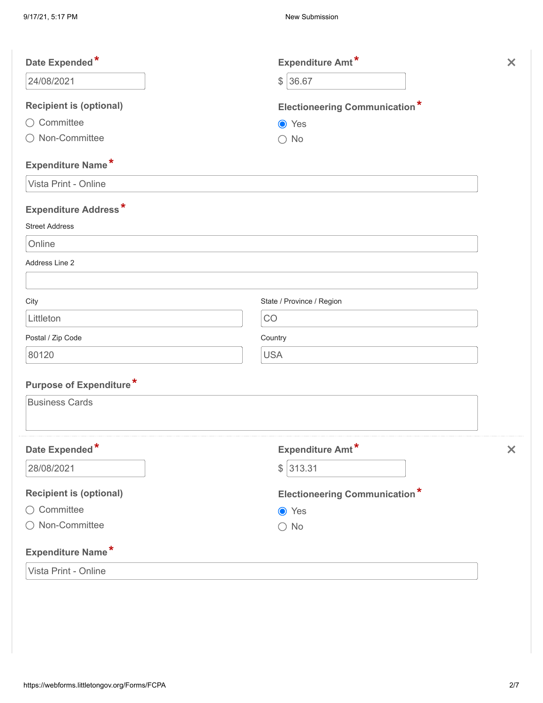| Date Expended*                 | Expenditure Amt*                     | $\times$                  |
|--------------------------------|--------------------------------------|---------------------------|
| 24/08/2021                     | \$36.67                              |                           |
| <b>Recipient is (optional)</b> | <b>Electioneering Communication*</b> |                           |
| ◯ Committee                    | ● Yes                                |                           |
| ◯ Non-Committee                | $\bigcirc$ No                        |                           |
| Expenditure Name*              |                                      |                           |
| Vista Print - Online           |                                      |                           |
| <b>Expenditure Address*</b>    |                                      |                           |
| <b>Street Address</b>          |                                      |                           |
| Online                         |                                      |                           |
| Address Line 2                 |                                      |                           |
| City                           | State / Province / Region            |                           |
| Littleton                      | CO                                   |                           |
| Postal / Zip Code              | Country                              |                           |
| 80120                          | <b>USA</b>                           |                           |
| Purpose of Expenditure*        |                                      |                           |
| <b>Business Cards</b>          |                                      |                           |
| Date Expended*                 | Expenditure Amt*                     | $\boldsymbol{\mathsf{x}}$ |
| 28/08/2021                     | \$ 313.31                            |                           |
| <b>Recipient is (optional)</b> | <b>Electioneering Communication*</b> |                           |
| ○ Committee                    | ● Yes                                |                           |
| ○ Non-Committee                | $\bigcirc$ No                        |                           |
| <b>Expenditure Name*</b>       |                                      |                           |
| Vista Print - Online           |                                      |                           |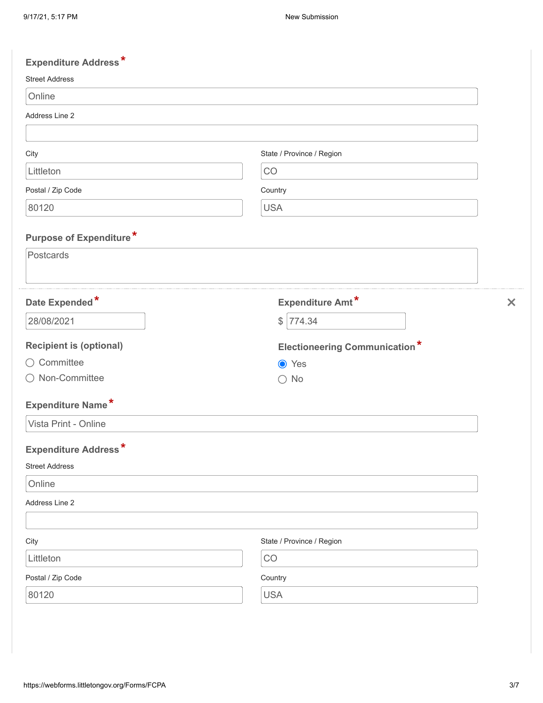| <b>Expenditure Address*</b>    |                                      |                           |
|--------------------------------|--------------------------------------|---------------------------|
| <b>Street Address</b>          |                                      |                           |
| Online                         |                                      |                           |
| Address Line 2                 |                                      |                           |
| City                           | State / Province / Region            |                           |
| Littleton                      | CO                                   |                           |
| Postal / Zip Code              | Country                              |                           |
| 80120                          | <b>USA</b>                           |                           |
| <b>Purpose of Expenditure*</b> |                                      |                           |
| Postcards                      |                                      |                           |
| Date Expended*                 | Expenditure Amt*                     | $\boldsymbol{\mathsf{x}}$ |
| 28/08/2021                     | 774.34<br>$\frac{1}{2}$              |                           |
| <b>Recipient is (optional)</b> | <b>Electioneering Communication*</b> |                           |
| Committee<br>( )               | ● Yes                                |                           |
| Non-Committee                  | $\bigcirc$ No                        |                           |
| Expenditure Name*              |                                      |                           |
| Vista Print - Online           |                                      |                           |
| <b>Expenditure Address*</b>    |                                      |                           |
| <b>Street Address</b>          |                                      |                           |
| Online                         |                                      |                           |
| Address Line 2                 |                                      |                           |
| City                           | State / Province / Region            |                           |
| Littleton                      | CO                                   |                           |
| Postal / Zip Code              | Country                              |                           |
| 80120                          | <b>USA</b>                           |                           |
|                                |                                      |                           |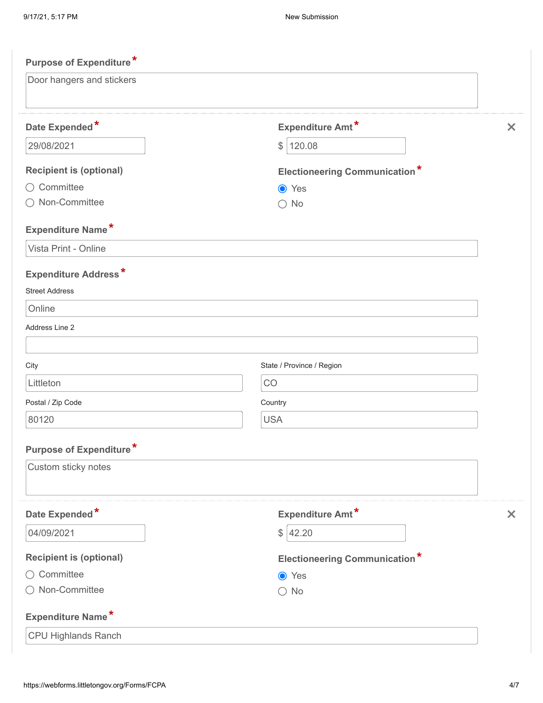| <b>Purpose of Expenditure*</b> |                                      |                           |
|--------------------------------|--------------------------------------|---------------------------|
| Door hangers and stickers      |                                      |                           |
| Date Expended*                 | <b>Expenditure Amt*</b>              | $\boldsymbol{\mathsf{x}}$ |
| 29/08/2021                     | 120.08<br>\$                         |                           |
| <b>Recipient is (optional)</b> | <b>Electioneering Communication*</b> |                           |
| ○ Committee                    | <b>●</b> Yes                         |                           |
| Non-Committee                  | $\bigcirc$ No                        |                           |
| <b>Expenditure Name*</b>       |                                      |                           |
| Vista Print - Online           |                                      |                           |
| <b>Expenditure Address*</b>    |                                      |                           |
| <b>Street Address</b>          |                                      |                           |
| Online                         |                                      |                           |
| Address Line 2                 |                                      |                           |
|                                |                                      |                           |
| City                           | State / Province / Region            |                           |
| Littleton                      | CO                                   |                           |
| Postal / Zip Code              | Country                              |                           |
| 80120                          | <b>USA</b>                           |                           |
| <b>Purpose of Expenditure*</b> |                                      |                           |
| Custom sticky notes            |                                      |                           |
|                                |                                      |                           |
| Date Expended*                 | Expenditure Amt*                     | $\boldsymbol{\mathsf{x}}$ |
| 04/09/2021                     | \$ 42.20                             |                           |
| <b>Recipient is (optional)</b> | <b>Electioneering Communication*</b> |                           |
| ○ Committee                    | ● Yes                                |                           |
| ○ Non-Committee                | $\bigcirc$ No                        |                           |
| Expenditure Name*              |                                      |                           |
| CPU Highlands Ranch            |                                      |                           |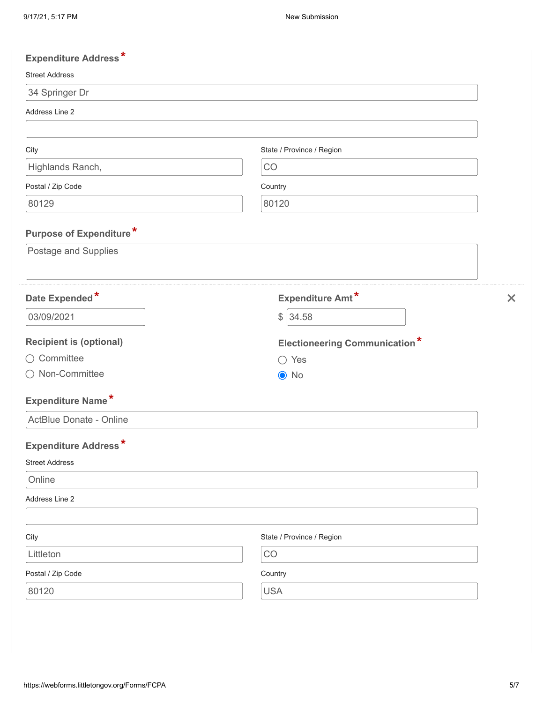| <b>Expenditure Address*</b>    |                                      |          |
|--------------------------------|--------------------------------------|----------|
| <b>Street Address</b>          |                                      |          |
| 34 Springer Dr                 |                                      |          |
| Address Line 2                 |                                      |          |
|                                |                                      |          |
| City                           | State / Province / Region            |          |
| Highlands Ranch,               | CO                                   |          |
| Postal / Zip Code              | Country                              |          |
| 80129                          | 80120                                |          |
| Purpose of Expenditure*        |                                      |          |
| Postage and Supplies           |                                      |          |
| Date Expended*                 | <b>Expenditure Amt*</b>              | $\times$ |
| 03/09/2021                     | 34.58<br>$\frac{1}{2}$               |          |
| <b>Recipient is (optional)</b> | <b>Electioneering Communication*</b> |          |
| ○ Committee                    | $\bigcirc$ Yes                       |          |
| ◯ Non-Committee                | $\odot$ No                           |          |
| Expenditure Name*              |                                      |          |
| ActBlue Donate - Online        |                                      |          |
| Expenditure Address*           |                                      |          |
| <b>Street Address</b>          |                                      |          |
| Online                         |                                      |          |
| Address Line 2                 |                                      |          |
| City                           | State / Province / Region            |          |
| Littleton                      | CO                                   |          |
| Postal / Zip Code              | Country                              |          |
|                                |                                      |          |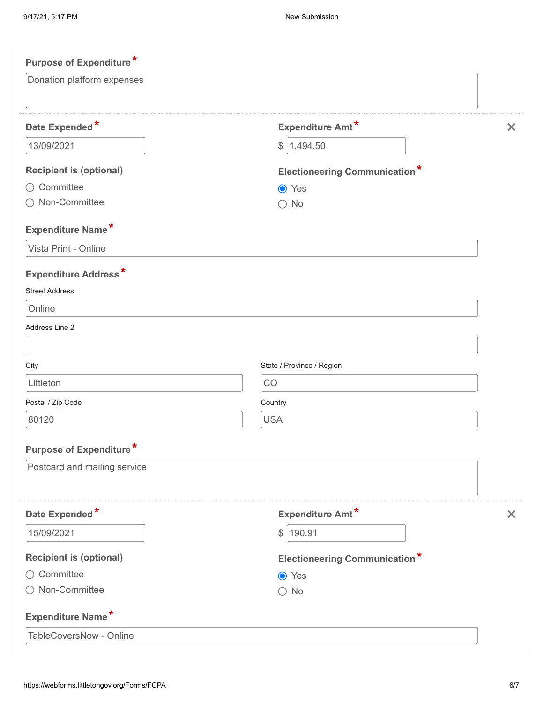| <b>Purpose of Expenditure*</b> |                                      |                       |
|--------------------------------|--------------------------------------|-----------------------|
| Donation platform expenses     |                                      |                       |
| Date Expended*                 | Expenditure Amt*                     | $\boldsymbol{\times}$ |
| 13/09/2021                     | 1,494.50<br>\$                       |                       |
| <b>Recipient is (optional)</b> | <b>Electioneering Communication*</b> |                       |
| ○ Committee                    | <b>●</b> Yes                         |                       |
| Non-Committee                  | $\bigcirc$ No                        |                       |
| Expenditure Name*              |                                      |                       |
| Vista Print - Online           |                                      |                       |
| <b>Expenditure Address*</b>    |                                      |                       |
| <b>Street Address</b>          |                                      |                       |
| Online                         |                                      |                       |
| Address Line 2                 |                                      |                       |
| City                           | State / Province / Region            |                       |
| Littleton                      | CO                                   |                       |
| Postal / Zip Code              | Country                              |                       |
| 80120                          | <b>USA</b>                           |                       |
| <b>Purpose of Expenditure*</b> |                                      |                       |
| Postcard and mailing service   |                                      |                       |
| Date Expended*                 | Expenditure Amt*                     | $\bm{\times}$         |
| 15/09/2021                     | \$ 190.91                            |                       |
| <b>Recipient is (optional)</b> | <b>Electioneering Communication*</b> |                       |
| ○ Committee                    | ● Yes                                |                       |
| ◯ Non-Committee                | $\bigcirc$ No                        |                       |
| <b>Expenditure Name*</b>       |                                      |                       |
| TableCoversNow - Online        |                                      |                       |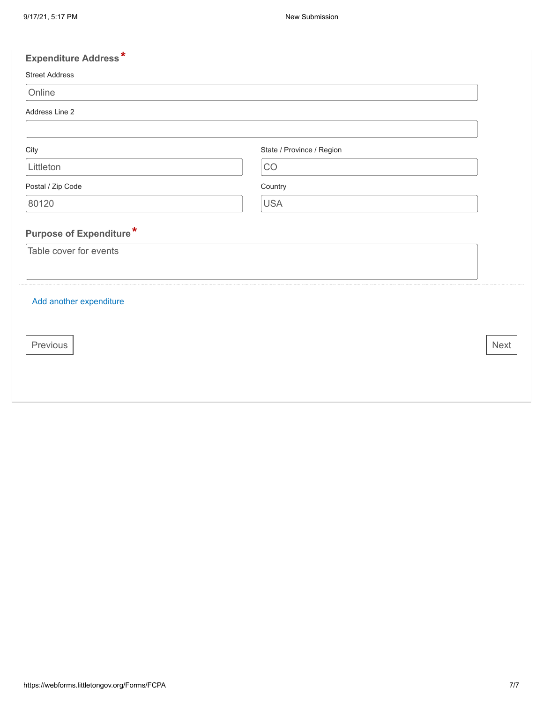# **Expenditure Address \***

#### Street Address

| M.<br>۰. |  |
|----------|--|
|----------|--|

Address Line 2

| City              | State / Province / Region |
|-------------------|---------------------------|
| Littleton         | CO                        |
| Postal / Zip Code | Country                   |
| 80120             | <b>USA</b>                |

# **Purpose of Expenditure \***

Table cover for events

## Add another [expenditure](javascript: void(0))

Previous Next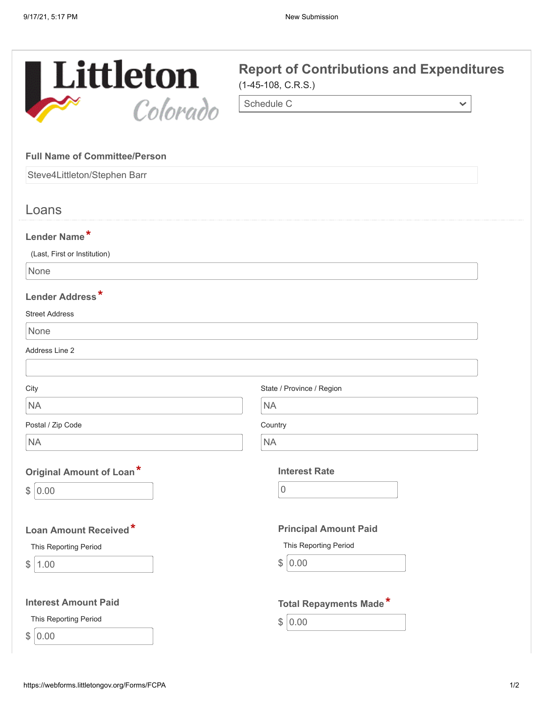

 $\checkmark$ 

Schedule C

#### **Full Name of Committee/Person**

Steve4Littleton/Stephen Barr

# Loans

## **Lender Name \***

(Last, First or Institution)

None

## **Lender Address \***

### Street Address

None

Address Line 2

| City                        | State / Province / Region     |
|-----------------------------|-------------------------------|
| <b>NA</b>                   | <b>NA</b>                     |
| Postal / Zip Code           | Country                       |
| <b>NA</b>                   | <b>NA</b>                     |
| Original Amount of Loan*    | <b>Interest Rate</b>          |
| \$<br>0.00                  | 0                             |
| Loan Amount Received*       | <b>Principal Amount Paid</b>  |
| This Reporting Period       | This Reporting Period         |
| \$<br>1.00                  | \$<br>0.00                    |
| <b>Interest Amount Paid</b> | <b>Total Repayments Made*</b> |
| This Reporting Period       | \$<br>0.00                    |
| \$ 0.00                     |                               |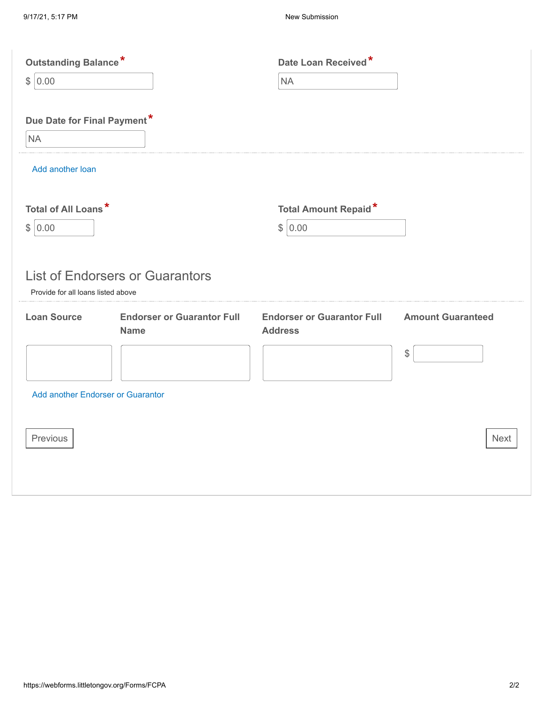| Outstanding Balance*               |                                        | Date Loan Received*               |                          |
|------------------------------------|----------------------------------------|-----------------------------------|--------------------------|
| 0.00<br>\$                         |                                        | NA                                |                          |
| Due Date for Final Payment*        |                                        |                                   |                          |
| <b>NA</b>                          |                                        |                                   |                          |
| Add another loan                   |                                        |                                   |                          |
| Total of All Loans*                |                                        | <b>Total Amount Repaid*</b>       |                          |
| $\mathcal{L}$<br>0.00              |                                        | \$ 0.00                           |                          |
| Provide for all loans listed above | <b>List of Endorsers or Guarantors</b> |                                   |                          |
| <b>Loan Source</b>                 | <b>Endorser or Guarantor Full</b>      | <b>Endorser or Guarantor Full</b> | <b>Amount Guaranteed</b> |
|                                    | <b>Name</b>                            | <b>Address</b>                    |                          |
|                                    |                                        |                                   | \$                       |
| Add another Endorser or Guarantor  |                                        |                                   |                          |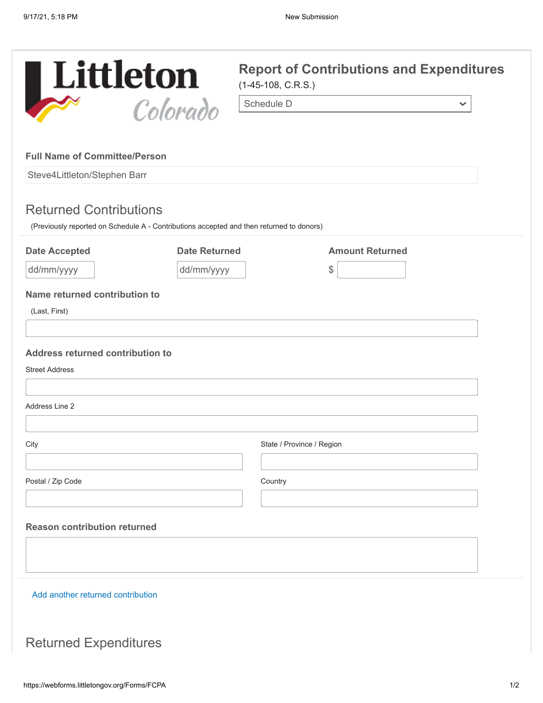$\checkmark$ 



### **Full Name of Committee/Person**

Steve4Littleton/Stephen Barr

# Returned Contributions

(Previously reported on Schedule A - Contributions accepted and then returned to donors)

| <b>Date Accepted</b>                | <b>Date Returned</b> | <b>Amount Returned</b>    |  |
|-------------------------------------|----------------------|---------------------------|--|
| dd/mm/yyyy                          | dd/mm/yyyy           | $\mathcal{L}$             |  |
| Name returned contribution to       |                      |                           |  |
| (Last, First)                       |                      |                           |  |
|                                     |                      |                           |  |
| Address returned contribution to    |                      |                           |  |
| <b>Street Address</b>               |                      |                           |  |
| Address Line 2                      |                      |                           |  |
| City                                |                      | State / Province / Region |  |
| Postal / Zip Code                   | Country              |                           |  |
| <b>Reason contribution returned</b> |                      |                           |  |
|                                     |                      |                           |  |
| Add another returned contribution   |                      |                           |  |

# Returned Expenditures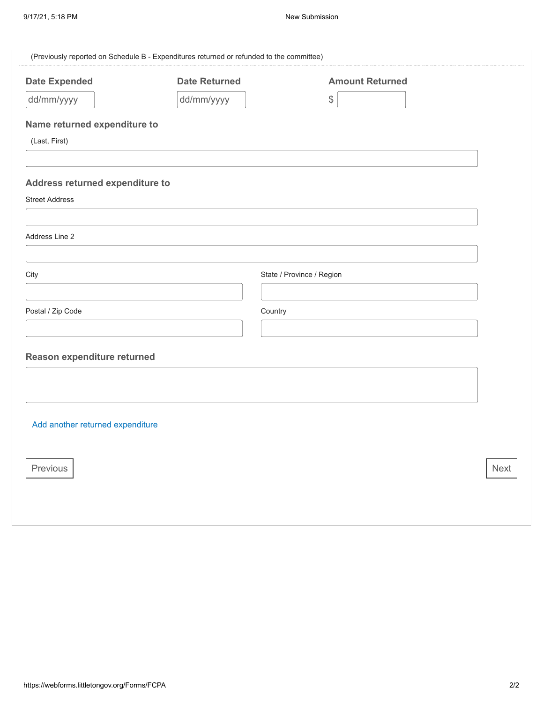| (Previously reported on Schedule B - Expenditures returned or refunded to the committee) |                      |                           |             |
|------------------------------------------------------------------------------------------|----------------------|---------------------------|-------------|
| <b>Date Expended</b>                                                                     | <b>Date Returned</b> | <b>Amount Returned</b>    |             |
| dd/mm/yyyy                                                                               | dd/mm/yyyy           | \$                        |             |
| Name returned expenditure to                                                             |                      |                           |             |
| (Last, First)                                                                            |                      |                           |             |
| Address returned expenditure to<br><b>Street Address</b>                                 |                      |                           |             |
| Address Line 2                                                                           |                      |                           |             |
| City                                                                                     |                      | State / Province / Region |             |
| Postal / Zip Code                                                                        |                      | Country                   |             |
| Reason expenditure returned                                                              |                      |                           |             |
| Add another returned expenditure                                                         |                      |                           |             |
| Previous                                                                                 |                      |                           | <b>Next</b> |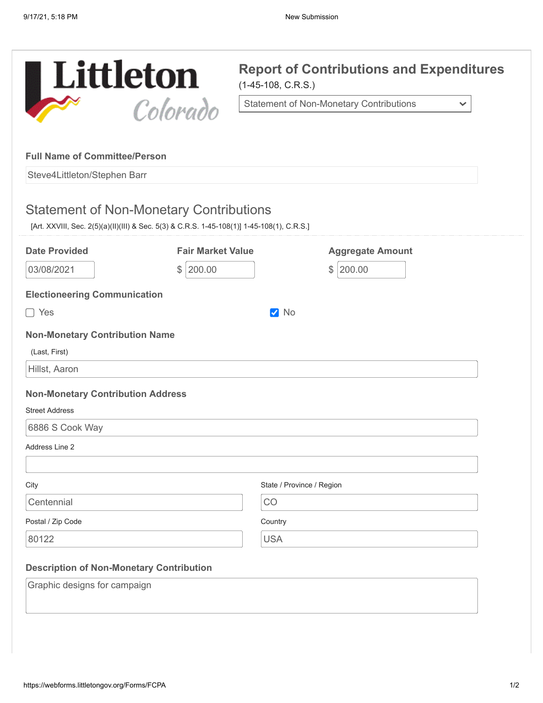

**Report of Contributions and Expenditures**

 $\checkmark$ 

Statement of Non-Monetary Contributions

### **Full Name of Committee/Person**

Steve4Littleton/Stephen Barr

# Statement of Non-Monetary Contributions

[Art. XXVIII, Sec. 2(5)(a)(II)(III) & Sec. 5(3) & C.R.S. 1-45-108(1)] 1-45-108(1), C.R.S.]

| <b>Date Provided</b>                            | <b>Fair Market Value</b> | <b>Aggregate Amount</b>   |
|-------------------------------------------------|--------------------------|---------------------------|
| 03/08/2021                                      | 200.00<br>$\frac{1}{2}$  | $\frac{1}{2}$<br>200.00   |
| <b>Electioneering Communication</b>             |                          |                           |
| $\Box$ Yes                                      |                          | <b>V</b> No               |
| <b>Non-Monetary Contribution Name</b>           |                          |                           |
| (Last, First)                                   |                          |                           |
| Hillst, Aaron                                   |                          |                           |
| <b>Non-Monetary Contribution Address</b>        |                          |                           |
| <b>Street Address</b>                           |                          |                           |
| 6886 S Cook Way                                 |                          |                           |
| Address Line 2                                  |                          |                           |
|                                                 |                          |                           |
| City                                            |                          | State / Province / Region |
| Centennial                                      | CO                       |                           |
| Postal / Zip Code                               | Country                  |                           |
| 80122                                           | <b>USA</b>               |                           |
|                                                 |                          |                           |
| <b>Description of Non-Monetary Contribution</b> |                          |                           |
| Graphic designs for campaign                    |                          |                           |